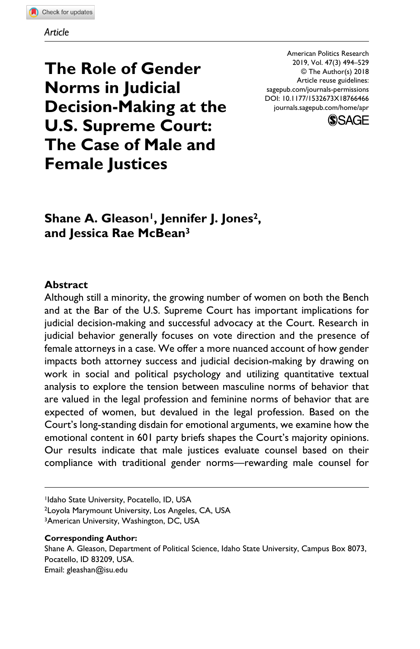#### *Article*

**The Role of Gender Norms in Judicial Decision-Making at the U.S. Supreme Court: The Case of Male and Female Justices**

DOI: 10.1177/1532673X18766466 American Politics Research 2019, Vol. 47(3) 494–529 © The Author(s) 2018 Article reuse guidelines: [sagepub.com/journals-permissions](https://us.sagepub.com/en-us/journals-permissions) [journals.sagepub.com/home/apr](https://journals.sagepub.com/home/apr)



Shane A. Gleason<sup>1</sup>, Jennifer J. Jones<sup>2</sup>, **and Jessica Rae McBean3**

### **Abstract**

Although still a minority, the growing number of women on both the Bench and at the Bar of the U.S. Supreme Court has important implications for judicial decision-making and successful advocacy at the Court. Research in judicial behavior generally focuses on vote direction and the presence of female attorneys in a case. We offer a more nuanced account of how gender impacts both attorney success and judicial decision-making by drawing on work in social and political psychology and utilizing quantitative textual analysis to explore the tension between masculine norms of behavior that are valued in the legal profession and feminine norms of behavior that are expected of women, but devalued in the legal profession. Based on the Court's long-standing disdain for emotional arguments, we examine how the emotional content in 601 party briefs shapes the Court's majority opinions. Our results indicate that male justices evaluate counsel based on their compliance with traditional gender norms—rewarding male counsel for

<sup>1</sup>Idaho State University, Pocatello, ID, USA

2Loyola Marymount University, Los Angeles, CA, USA 3American University, Washington, DC, USA

#### **Corresponding Author:**

Shane A. Gleason, Department of Political Science, Idaho State University, Campus Box 8073, Pocatello, ID 83209, USA. Email: [gleashan@isu.edu](mailto:gleashan@isu.edu)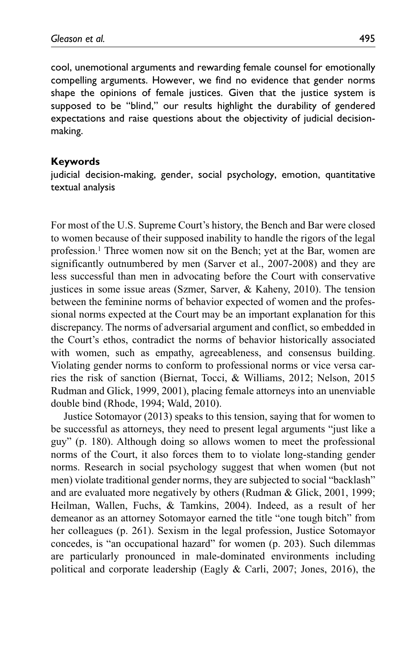cool, unemotional arguments and rewarding female counsel for emotionally compelling arguments. However, we find no evidence that gender norms shape the opinions of female justices. Given that the justice system is supposed to be "blind," our results highlight the durability of gendered expectations and raise questions about the objectivity of judicial decisionmaking.

### **Keywords**

judicial decision-making, gender, social psychology, emotion, quantitative textual analysis

For most of the U.S. Supreme Court's history, the Bench and Bar were closed to women because of their supposed inability to handle the rigors of the legal profession.1 Three women now sit on the Bench; yet at the Bar, women are significantly outnumbered by men (Sarver et al., 2007-2008) and they are less successful than men in advocating before the Court with conservative justices in some issue areas (Szmer, Sarver, & Kaheny, 2010). The tension between the feminine norms of behavior expected of women and the professional norms expected at the Court may be an important explanation for this discrepancy. The norms of adversarial argument and conflict, so embedded in the Court's ethos, contradict the norms of behavior historically associated with women, such as empathy, agreeableness, and consensus building. Violating gender norms to conform to professional norms or vice versa carries the risk of sanction (Biernat, Tocci, & Williams, 2012; Nelson, 2015 Rudman and Glick, 1999, 2001), placing female attorneys into an unenviable double bind (Rhode, 1994; Wald, 2010).

Justice Sotomayor (2013) speaks to this tension, saying that for women to be successful as attorneys, they need to present legal arguments "just like a guy" (p. 180). Although doing so allows women to meet the professional norms of the Court, it also forces them to to violate long-standing gender norms. Research in social psychology suggest that when women (but not men) violate traditional gender norms, they are subjected to social "backlash" and are evaluated more negatively by others (Rudman & Glick, 2001, 1999; Heilman, Wallen, Fuchs, & Tamkins, 2004). Indeed, as a result of her demeanor as an attorney Sotomayor earned the title "one tough bitch" from her colleagues (p. 261). Sexism in the legal profession, Justice Sotomayor concedes, is "an occupational hazard" for women (p. 203). Such dilemmas are particularly pronounced in male-dominated environments including political and corporate leadership (Eagly & Carli, 2007; Jones, 2016), the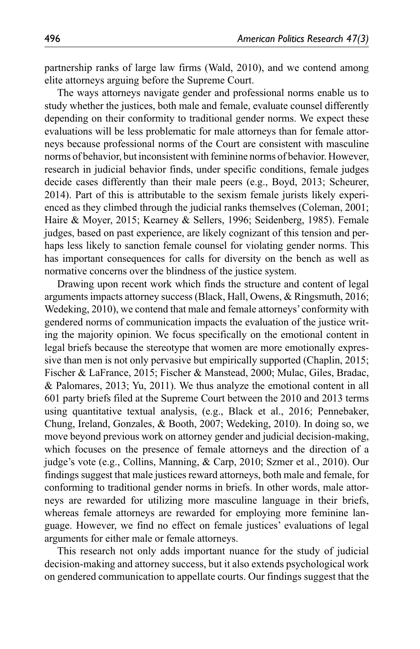partnership ranks of large law firms (Wald, 2010), and we contend among elite attorneys arguing before the Supreme Court.

The ways attorneys navigate gender and professional norms enable us to study whether the justices, both male and female, evaluate counsel differently depending on their conformity to traditional gender norms. We expect these evaluations will be less problematic for male attorneys than for female attorneys because professional norms of the Court are consistent with masculine norms of behavior, but inconsistent with feminine norms of behavior. However, research in judicial behavior finds, under specific conditions, female judges decide cases differently than their male peers (e.g., Boyd, 2013; Scheurer, 2014). Part of this is attributable to the sexism female jurists likely experienced as they climbed through the judicial ranks themselves (Coleman, 2001; Haire & Moyer, 2015; Kearney & Sellers, 1996; Seidenberg, 1985). Female judges, based on past experience, are likely cognizant of this tension and perhaps less likely to sanction female counsel for violating gender norms. This has important consequences for calls for diversity on the bench as well as normative concerns over the blindness of the justice system.

Drawing upon recent work which finds the structure and content of legal arguments impacts attorney success (Black, Hall, Owens, & Ringsmuth, 2016; Wedeking, 2010), we contend that male and female attorneys' conformity with gendered norms of communication impacts the evaluation of the justice writing the majority opinion. We focus specifically on the emotional content in legal briefs because the stereotype that women are more emotionally expressive than men is not only pervasive but empirically supported (Chaplin, 2015; Fischer & LaFrance, 2015; Fischer & Manstead, 2000; Mulac, Giles, Bradac, & Palomares, 2013; Yu, 2011). We thus analyze the emotional content in all 601 party briefs filed at the Supreme Court between the 2010 and 2013 terms using quantitative textual analysis, (e.g., Black et al., 2016; Pennebaker, Chung, Ireland, Gonzales, & Booth, 2007; Wedeking, 2010). In doing so, we move beyond previous work on attorney gender and judicial decision-making, which focuses on the presence of female attorneys and the direction of a judge's vote (e.g., Collins, Manning, & Carp, 2010; Szmer et al., 2010). Our findings suggest that male justices reward attorneys, both male and female, for conforming to traditional gender norms in briefs. In other words, male attorneys are rewarded for utilizing more masculine language in their briefs, whereas female attorneys are rewarded for employing more feminine language. However, we find no effect on female justices' evaluations of legal arguments for either male or female attorneys.

This research not only adds important nuance for the study of judicial decision-making and attorney success, but it also extends psychological work on gendered communication to appellate courts. Our findings suggest that the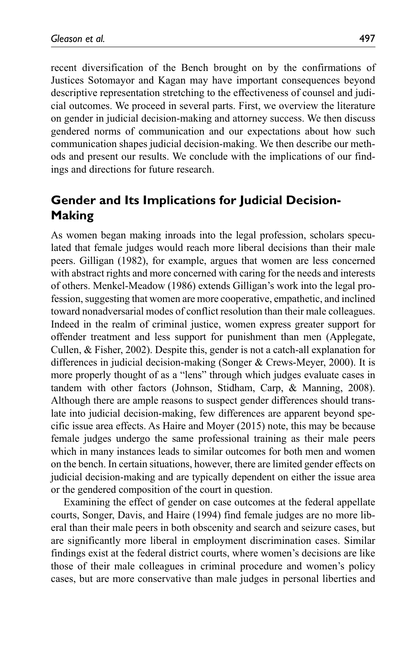recent diversification of the Bench brought on by the confirmations of Justices Sotomayor and Kagan may have important consequences beyond descriptive representation stretching to the effectiveness of counsel and judicial outcomes. We proceed in several parts. First, we overview the literature on gender in judicial decision-making and attorney success. We then discuss gendered norms of communication and our expectations about how such communication shapes judicial decision-making. We then describe our methods and present our results. We conclude with the implications of our findings and directions for future research.

# **Gender and Its Implications for Judicial Decision-Making**

As women began making inroads into the legal profession, scholars speculated that female judges would reach more liberal decisions than their male peers. Gilligan (1982), for example, argues that women are less concerned with abstract rights and more concerned with caring for the needs and interests of others. Menkel-Meadow (1986) extends Gilligan's work into the legal profession, suggesting that women are more cooperative, empathetic, and inclined toward nonadversarial modes of conflict resolution than their male colleagues. Indeed in the realm of criminal justice, women express greater support for offender treatment and less support for punishment than men (Applegate, Cullen, & Fisher, 2002). Despite this, gender is not a catch-all explanation for differences in judicial decision-making (Songer & Crews-Meyer, 2000). It is more properly thought of as a "lens" through which judges evaluate cases in tandem with other factors (Johnson, Stidham, Carp, & Manning, 2008). Although there are ample reasons to suspect gender differences should translate into judicial decision-making, few differences are apparent beyond specific issue area effects. As Haire and Moyer (2015) note, this may be because female judges undergo the same professional training as their male peers which in many instances leads to similar outcomes for both men and women on the bench. In certain situations, however, there are limited gender effects on judicial decision-making and are typically dependent on either the issue area or the gendered composition of the court in question.

Examining the effect of gender on case outcomes at the federal appellate courts, Songer, Davis, and Haire (1994) find female judges are no more liberal than their male peers in both obscenity and search and seizure cases, but are significantly more liberal in employment discrimination cases. Similar findings exist at the federal district courts, where women's decisions are like those of their male colleagues in criminal procedure and women's policy cases, but are more conservative than male judges in personal liberties and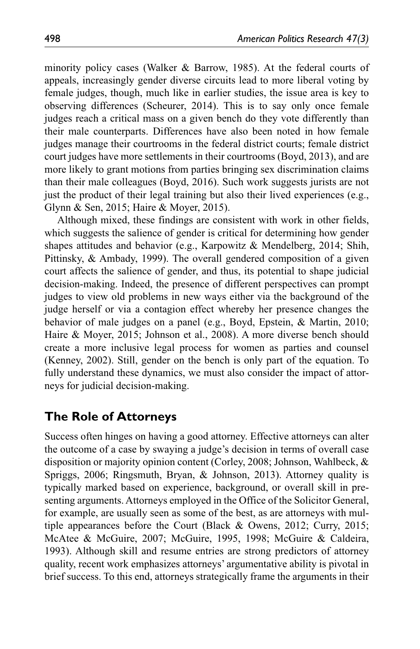minority policy cases (Walker  $\&$  Barrow, 1985). At the federal courts of appeals, increasingly gender diverse circuits lead to more liberal voting by female judges, though, much like in earlier studies, the issue area is key to observing differences (Scheurer, 2014). This is to say only once female judges reach a critical mass on a given bench do they vote differently than their male counterparts. Differences have also been noted in how female judges manage their courtrooms in the federal district courts; female district court judges have more settlements in their courtrooms (Boyd, 2013), and are more likely to grant motions from parties bringing sex discrimination claims than their male colleagues (Boyd, 2016). Such work suggests jurists are not just the product of their legal training but also their lived experiences (e.g., Glynn & Sen, 2015; Haire & Moyer, 2015).

Although mixed, these findings are consistent with work in other fields, which suggests the salience of gender is critical for determining how gender shapes attitudes and behavior (e.g., Karpowitz & Mendelberg, 2014; Shih, Pittinsky, & Ambady, 1999). The overall gendered composition of a given court affects the salience of gender, and thus, its potential to shape judicial decision-making. Indeed, the presence of different perspectives can prompt judges to view old problems in new ways either via the background of the judge herself or via a contagion effect whereby her presence changes the behavior of male judges on a panel (e.g., Boyd, Epstein, & Martin, 2010; Haire & Moyer, 2015; Johnson et al., 2008). A more diverse bench should create a more inclusive legal process for women as parties and counsel (Kenney, 2002). Still, gender on the bench is only part of the equation. To fully understand these dynamics, we must also consider the impact of attorneys for judicial decision-making.

## **The Role of Attorneys**

Success often hinges on having a good attorney. Effective attorneys can alter the outcome of a case by swaying a judge's decision in terms of overall case disposition or majority opinion content (Corley, 2008; Johnson, Wahlbeck, & Spriggs, 2006; Ringsmuth, Bryan, & Johnson, 2013). Attorney quality is typically marked based on experience, background, or overall skill in presenting arguments. Attorneys employed in the Office of the Solicitor General, for example, are usually seen as some of the best, as are attorneys with multiple appearances before the Court (Black & Owens, 2012; Curry, 2015; McAtee & McGuire, 2007; McGuire, 1995, 1998; McGuire & Caldeira, 1993). Although skill and resume entries are strong predictors of attorney quality, recent work emphasizes attorneys' argumentative ability is pivotal in brief success. To this end, attorneys strategically frame the arguments in their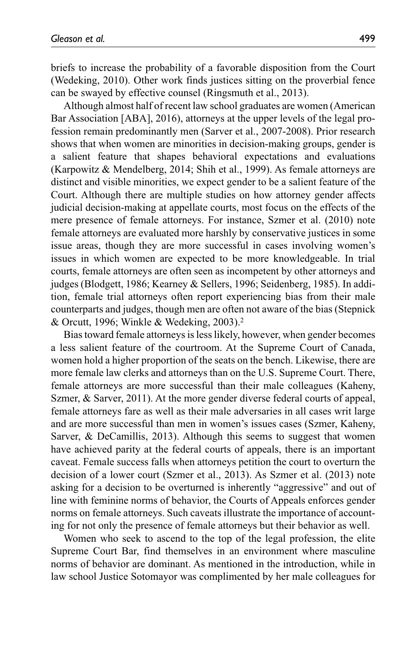briefs to increase the probability of a favorable disposition from the Court (Wedeking, 2010). Other work finds justices sitting on the proverbial fence can be swayed by effective counsel (Ringsmuth et al., 2013).

Although almost half of recent law school graduates are women (American Bar Association [ABA], 2016), attorneys at the upper levels of the legal profession remain predominantly men (Sarver et al., 2007-2008). Prior research shows that when women are minorities in decision-making groups, gender is a salient feature that shapes behavioral expectations and evaluations (Karpowitz & Mendelberg, 2014; Shih et al., 1999). As female attorneys are distinct and visible minorities, we expect gender to be a salient feature of the Court. Although there are multiple studies on how attorney gender affects judicial decision-making at appellate courts, most focus on the effects of the mere presence of female attorneys. For instance, Szmer et al. (2010) note female attorneys are evaluated more harshly by conservative justices in some issue areas, though they are more successful in cases involving women's issues in which women are expected to be more knowledgeable. In trial courts, female attorneys are often seen as incompetent by other attorneys and judges (Blodgett, 1986; Kearney & Sellers, 1996; Seidenberg, 1985). In addition, female trial attorneys often report experiencing bias from their male counterparts and judges, though men are often not aware of the bias (Stepnick & Orcutt, 1996; Winkle & Wedeking, 2003).2

Bias toward female attorneys is less likely, however, when gender becomes a less salient feature of the courtroom. At the Supreme Court of Canada, women hold a higher proportion of the seats on the bench. Likewise, there are more female law clerks and attorneys than on the U.S. Supreme Court. There, female attorneys are more successful than their male colleagues (Kaheny, Szmer, & Sarver, 2011). At the more gender diverse federal courts of appeal, female attorneys fare as well as their male adversaries in all cases writ large and are more successful than men in women's issues cases (Szmer, Kaheny, Sarver, & DeCamillis, 2013). Although this seems to suggest that women have achieved parity at the federal courts of appeals, there is an important caveat. Female success falls when attorneys petition the court to overturn the decision of a lower court (Szmer et al., 2013). As Szmer et al. (2013) note asking for a decision to be overturned is inherently "aggressive" and out of line with feminine norms of behavior, the Courts of Appeals enforces gender norms on female attorneys. Such caveats illustrate the importance of accounting for not only the presence of female attorneys but their behavior as well.

Women who seek to ascend to the top of the legal profession, the elite Supreme Court Bar, find themselves in an environment where masculine norms of behavior are dominant. As mentioned in the introduction, while in law school Justice Sotomayor was complimented by her male colleagues for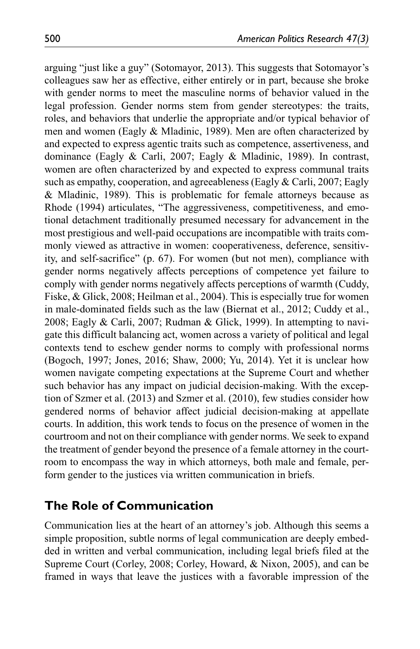arguing "just like a guy" (Sotomayor, 2013). This suggests that Sotomayor's colleagues saw her as effective, either entirely or in part, because she broke with gender norms to meet the masculine norms of behavior valued in the legal profession. Gender norms stem from gender stereotypes: the traits, roles, and behaviors that underlie the appropriate and/or typical behavior of men and women (Eagly & Mladinic, 1989). Men are often characterized by and expected to express agentic traits such as competence, assertiveness, and dominance (Eagly & Carli, 2007; Eagly & Mladinic, 1989). In contrast, women are often characterized by and expected to express communal traits such as empathy, cooperation, and agreeableness (Eagly & Carli, 2007; Eagly & Mladinic, 1989). This is problematic for female attorneys because as Rhode (1994) articulates, "The aggressiveness, competitiveness, and emotional detachment traditionally presumed necessary for advancement in the most prestigious and well-paid occupations are incompatible with traits commonly viewed as attractive in women: cooperativeness, deference, sensitivity, and self-sacrifice" (p. 67). For women (but not men), compliance with gender norms negatively affects perceptions of competence yet failure to comply with gender norms negatively affects perceptions of warmth (Cuddy, Fiske, & Glick, 2008; Heilman et al., 2004). This is especially true for women in male-dominated fields such as the law (Biernat et al., 2012; Cuddy et al., 2008; Eagly & Carli, 2007; Rudman & Glick, 1999). In attempting to navigate this difficult balancing act, women across a variety of political and legal contexts tend to eschew gender norms to comply with professional norms (Bogoch, 1997; Jones, 2016; Shaw, 2000; Yu, 2014). Yet it is unclear how women navigate competing expectations at the Supreme Court and whether such behavior has any impact on judicial decision-making. With the exception of Szmer et al. (2013) and Szmer et al. (2010), few studies consider how gendered norms of behavior affect judicial decision-making at appellate courts. In addition, this work tends to focus on the presence of women in the courtroom and not on their compliance with gender norms. We seek to expand the treatment of gender beyond the presence of a female attorney in the courtroom to encompass the way in which attorneys, both male and female, perform gender to the justices via written communication in briefs.

## **The Role of Communication**

Communication lies at the heart of an attorney's job. Although this seems a simple proposition, subtle norms of legal communication are deeply embedded in written and verbal communication, including legal briefs filed at the Supreme Court (Corley, 2008; Corley, Howard, & Nixon, 2005), and can be framed in ways that leave the justices with a favorable impression of the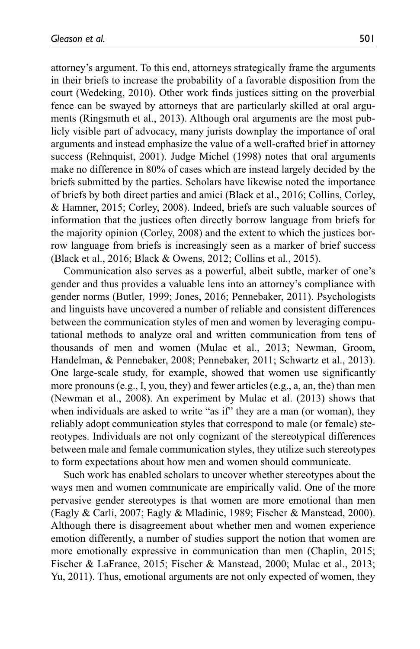attorney's argument. To this end, attorneys strategically frame the arguments in their briefs to increase the probability of a favorable disposition from the court (Wedeking, 2010). Other work finds justices sitting on the proverbial fence can be swayed by attorneys that are particularly skilled at oral arguments (Ringsmuth et al., 2013). Although oral arguments are the most publicly visible part of advocacy, many jurists downplay the importance of oral arguments and instead emphasize the value of a well-crafted brief in attorney success (Rehnquist, 2001). Judge Michel (1998) notes that oral arguments make no difference in 80% of cases which are instead largely decided by the briefs submitted by the parties. Scholars have likewise noted the importance of briefs by both direct parties and amici (Black et al., 2016; Collins, Corley, & Hamner, 2015; Corley, 2008). Indeed, briefs are such valuable sources of information that the justices often directly borrow language from briefs for the majority opinion (Corley, 2008) and the extent to which the justices borrow language from briefs is increasingly seen as a marker of brief success (Black et al., 2016; Black & Owens, 2012; Collins et al., 2015).

Communication also serves as a powerful, albeit subtle, marker of one's gender and thus provides a valuable lens into an attorney's compliance with gender norms (Butler, 1999; Jones, 2016; Pennebaker, 2011). Psychologists and linguists have uncovered a number of reliable and consistent differences between the communication styles of men and women by leveraging computational methods to analyze oral and written communication from tens of thousands of men and women (Mulac et al., 2013; Newman, Groom, Handelman, & Pennebaker, 2008; Pennebaker, 2011; Schwartz et al., 2013). One large-scale study, for example, showed that women use significantly more pronouns (e.g., I, you, they) and fewer articles (e.g., a, an, the) than men (Newman et al., 2008). An experiment by Mulac et al. (2013) shows that when individuals are asked to write "as if" they are a man (or woman), they reliably adopt communication styles that correspond to male (or female) stereotypes. Individuals are not only cognizant of the stereotypical differences between male and female communication styles, they utilize such stereotypes to form expectations about how men and women should communicate.

Such work has enabled scholars to uncover whether stereotypes about the ways men and women communicate are empirically valid. One of the more pervasive gender stereotypes is that women are more emotional than men (Eagly & Carli, 2007; Eagly & Mladinic, 1989; Fischer & Manstead, 2000). Although there is disagreement about whether men and women experience emotion differently, a number of studies support the notion that women are more emotionally expressive in communication than men (Chaplin, 2015; Fischer & LaFrance, 2015; Fischer & Manstead, 2000; Mulac et al., 2013; Yu, 2011). Thus, emotional arguments are not only expected of women, they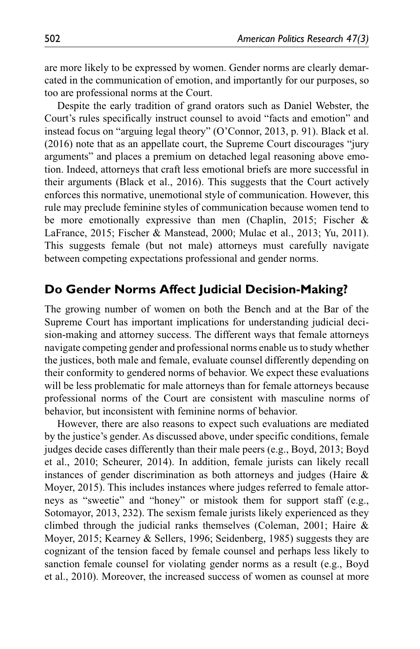are more likely to be expressed by women. Gender norms are clearly demarcated in the communication of emotion, and importantly for our purposes, so too are professional norms at the Court.

Despite the early tradition of grand orators such as Daniel Webster, the Court's rules specifically instruct counsel to avoid "facts and emotion" and instead focus on "arguing legal theory" (O'Connor, 2013, p. 91). Black et al. (2016) note that as an appellate court, the Supreme Court discourages "jury arguments" and places a premium on detached legal reasoning above emotion. Indeed, attorneys that craft less emotional briefs are more successful in their arguments (Black et al., 2016). This suggests that the Court actively enforces this normative, unemotional style of communication. However, this rule may preclude feminine styles of communication because women tend to be more emotionally expressive than men (Chaplin, 2015; Fischer & LaFrance, 2015; Fischer & Manstead, 2000; Mulac et al., 2013; Yu, 2011). This suggests female (but not male) attorneys must carefully navigate between competing expectations professional and gender norms.

## **Do Gender Norms Affect Judicial Decision-Making?**

The growing number of women on both the Bench and at the Bar of the Supreme Court has important implications for understanding judicial decision-making and attorney success. The different ways that female attorneys navigate competing gender and professional norms enable us to study whether the justices, both male and female, evaluate counsel differently depending on their conformity to gendered norms of behavior. We expect these evaluations will be less problematic for male attorneys than for female attorneys because professional norms of the Court are consistent with masculine norms of behavior, but inconsistent with feminine norms of behavior.

However, there are also reasons to expect such evaluations are mediated by the justice's gender. As discussed above, under specific conditions, female judges decide cases differently than their male peers (e.g., Boyd, 2013; Boyd et al., 2010; Scheurer, 2014). In addition, female jurists can likely recall instances of gender discrimination as both attorneys and judges (Haire & Moyer, 2015). This includes instances where judges referred to female attorneys as "sweetie" and "honey" or mistook them for support staff (e.g., Sotomayor, 2013, 232). The sexism female jurists likely experienced as they climbed through the judicial ranks themselves (Coleman, 2001; Haire & Moyer, 2015; Kearney & Sellers, 1996; Seidenberg, 1985) suggests they are cognizant of the tension faced by female counsel and perhaps less likely to sanction female counsel for violating gender norms as a result (e.g., Boyd et al., 2010). Moreover, the increased success of women as counsel at more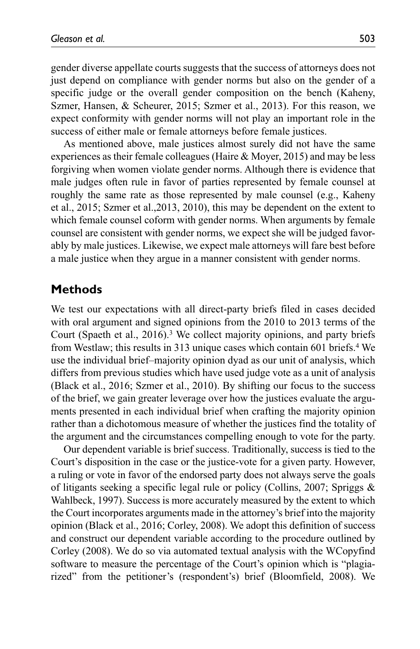gender diverse appellate courts suggests that the success of attorneys does not just depend on compliance with gender norms but also on the gender of a specific judge or the overall gender composition on the bench (Kaheny, Szmer, Hansen, & Scheurer, 2015; Szmer et al., 2013). For this reason, we expect conformity with gender norms will not play an important role in the success of either male or female attorneys before female justices.

As mentioned above, male justices almost surely did not have the same experiences as their female colleagues (Haire & Moyer, 2015) and may be less forgiving when women violate gender norms. Although there is evidence that male judges often rule in favor of parties represented by female counsel at roughly the same rate as those represented by male counsel (e.g., Kaheny et al., 2015; Szmer et al.,2013, 2010), this may be dependent on the extent to which female counsel coform with gender norms. When arguments by female counsel are consistent with gender norms, we expect she will be judged favorably by male justices. Likewise, we expect male attorneys will fare best before a male justice when they argue in a manner consistent with gender norms.

### **Methods**

We test our expectations with all direct-party briefs filed in cases decided with oral argument and signed opinions from the 2010 to 2013 terms of the Court (Spaeth et al., 2016).<sup>3</sup> We collect majority opinions, and party briefs from Westlaw; this results in 313 unique cases which contain 601 briefs.4 We use the individual brief–majority opinion dyad as our unit of analysis, which differs from previous studies which have used judge vote as a unit of analysis (Black et al., 2016; Szmer et al., 2010). By shifting our focus to the success of the brief, we gain greater leverage over how the justices evaluate the arguments presented in each individual brief when crafting the majority opinion rather than a dichotomous measure of whether the justices find the totality of the argument and the circumstances compelling enough to vote for the party.

Our dependent variable is brief success. Traditionally, success is tied to the Court's disposition in the case or the justice-vote for a given party. However, a ruling or vote in favor of the endorsed party does not always serve the goals of litigants seeking a specific legal rule or policy (Collins, 2007; Spriggs & Wahlbeck, 1997). Success is more accurately measured by the extent to which the Court incorporates arguments made in the attorney's brief into the majority opinion (Black et al., 2016; Corley, 2008). We adopt this definition of success and construct our dependent variable according to the procedure outlined by Corley (2008). We do so via automated textual analysis with the WCopyfind software to measure the percentage of the Court's opinion which is "plagiarized" from the petitioner's (respondent's) brief (Bloomfield, 2008). We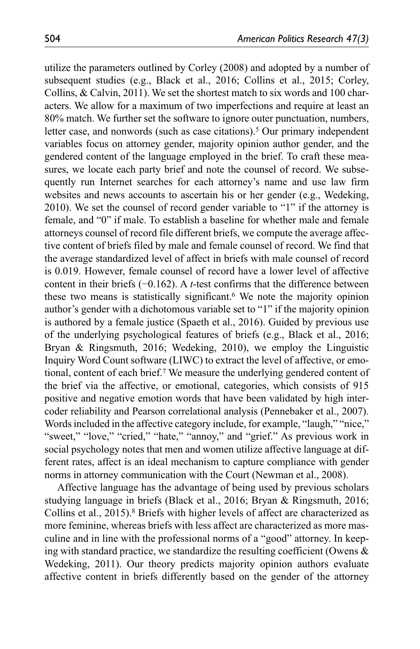utilize the parameters outlined by Corley (2008) and adopted by a number of subsequent studies (e.g., Black et al., 2016; Collins et al., 2015; Corley, Collins, & Calvin, 2011). We set the shortest match to six words and 100 characters. We allow for a maximum of two imperfections and require at least an 80% match. We further set the software to ignore outer punctuation, numbers, letter case, and nonwords (such as case citations).<sup>5</sup> Our primary independent variables focus on attorney gender, majority opinion author gender, and the gendered content of the language employed in the brief. To craft these measures, we locate each party brief and note the counsel of record. We subsequently run Internet searches for each attorney's name and use law firm websites and news accounts to ascertain his or her gender (e.g., Wedeking, 2010). We set the counsel of record gender variable to "1" if the attorney is female, and "0" if male. To establish a baseline for whether male and female attorneys counsel of record file different briefs, we compute the average affective content of briefs filed by male and female counsel of record. We find that the average standardized level of affect in briefs with male counsel of record is 0.019. However, female counsel of record have a lower level of affective content in their briefs (−0.162). A *t*-test confirms that the difference between these two means is statistically significant.6 We note the majority opinion author's gender with a dichotomous variable set to "1" if the majority opinion is authored by a female justice (Spaeth et al., 2016). Guided by previous use of the underlying psychological features of briefs (e.g., Black et al., 2016; Bryan & Ringsmuth, 2016; Wedeking, 2010), we employ the Linguistic Inquiry Word Count software (LIWC) to extract the level of affective, or emotional, content of each brief.7 We measure the underlying gendered content of the brief via the affective, or emotional, categories, which consists of 915 positive and negative emotion words that have been validated by high intercoder reliability and Pearson correlational analysis (Pennebaker et al., 2007). Words included in the affective category include, for example, "laugh," "nice," "sweet," "love," "cried," "hate," "annoy," and "grief." As previous work in social psychology notes that men and women utilize affective language at different rates, affect is an ideal mechanism to capture compliance with gender norms in attorney communication with the Court (Newman et al., 2008).

Affective language has the advantage of being used by previous scholars studying language in briefs (Black et al., 2016; Bryan & Ringsmuth, 2016; Collins et al., 2015).8 Briefs with higher levels of affect are characterized as more feminine, whereas briefs with less affect are characterized as more masculine and in line with the professional norms of a "good" attorney. In keeping with standard practice, we standardize the resulting coefficient (Owens & Wedeking, 2011). Our theory predicts majority opinion authors evaluate affective content in briefs differently based on the gender of the attorney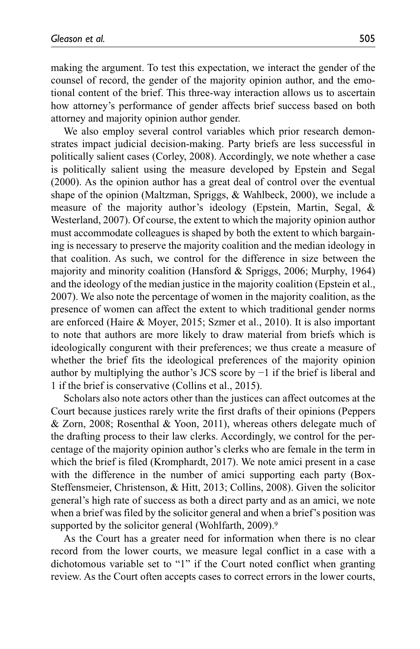making the argument. To test this expectation, we interact the gender of the counsel of record, the gender of the majority opinion author, and the emotional content of the brief. This three-way interaction allows us to ascertain how attorney's performance of gender affects brief success based on both attorney and majority opinion author gender.

We also employ several control variables which prior research demonstrates impact judicial decision-making. Party briefs are less successful in politically salient cases (Corley, 2008). Accordingly, we note whether a case is politically salient using the measure developed by Epstein and Segal (2000). As the opinion author has a great deal of control over the eventual shape of the opinion (Maltzman, Spriggs, & Wahlbeck, 2000), we include a measure of the majority author's ideology (Epstein, Martin, Segal, & Westerland, 2007). Of course, the extent to which the majority opinion author must accommodate colleagues is shaped by both the extent to which bargaining is necessary to preserve the majority coalition and the median ideology in that coalition. As such, we control for the difference in size between the majority and minority coalition (Hansford & Spriggs, 2006; Murphy, 1964) and the ideology of the median justice in the majority coalition (Epstein et al., 2007). We also note the percentage of women in the majority coalition, as the presence of women can affect the extent to which traditional gender norms are enforced (Haire & Moyer, 2015; Szmer et al., 2010). It is also important to note that authors are more likely to draw material from briefs which is ideologically congurent with their preferences; we thus create a measure of whether the brief fits the ideological preferences of the majority opinion author by multiplying the author's JCS score by −1 if the brief is liberal and 1 if the brief is conservative (Collins et al., 2015).

Scholars also note actors other than the justices can affect outcomes at the Court because justices rarely write the first drafts of their opinions (Peppers & Zorn, 2008; Rosenthal & Yoon, 2011), whereas others delegate much of the drafting process to their law clerks. Accordingly, we control for the percentage of the majority opinion author's clerks who are female in the term in which the brief is filed (Kromphardt, 2017). We note amici present in a case with the difference in the number of amici supporting each party (Box-Steffensmeier, Christenson, & Hitt, 2013; Collins, 2008). Given the solicitor general's high rate of success as both a direct party and as an amici, we note when a brief was filed by the solicitor general and when a brief's position was supported by the solicitor general (Wohlfarth, 2009).<sup>9</sup>

As the Court has a greater need for information when there is no clear record from the lower courts, we measure legal conflict in a case with a dichotomous variable set to "1" if the Court noted conflict when granting review. As the Court often accepts cases to correct errors in the lower courts,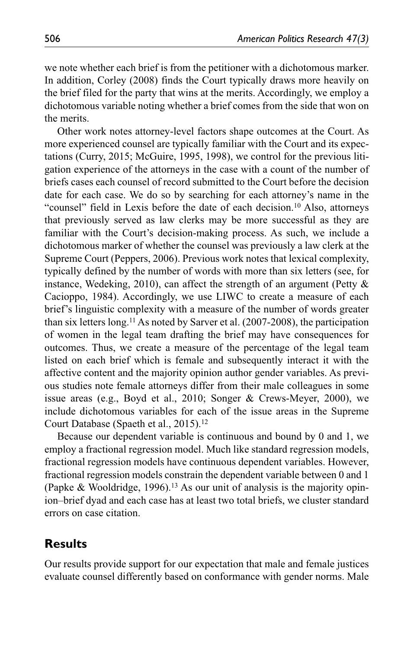we note whether each brief is from the petitioner with a dichotomous marker. In addition, Corley (2008) finds the Court typically draws more heavily on the brief filed for the party that wins at the merits. Accordingly, we employ a dichotomous variable noting whether a brief comes from the side that won on the merits.

Other work notes attorney-level factors shape outcomes at the Court. As more experienced counsel are typically familiar with the Court and its expectations (Curry, 2015; McGuire, 1995, 1998), we control for the previous litigation experience of the attorneys in the case with a count of the number of briefs cases each counsel of record submitted to the Court before the decision date for each case. We do so by searching for each attorney's name in the "counsel" field in Lexis before the date of each decision.10 Also, attorneys that previously served as law clerks may be more successful as they are familiar with the Court's decision-making process. As such, we include a dichotomous marker of whether the counsel was previously a law clerk at the Supreme Court (Peppers, 2006). Previous work notes that lexical complexity, typically defined by the number of words with more than six letters (see, for instance, Wedeking, 2010), can affect the strength of an argument (Petty  $\&$ Cacioppo, 1984). Accordingly, we use LIWC to create a measure of each brief's linguistic complexity with a measure of the number of words greater than six letters long.11 As noted by Sarver et al. (2007-2008), the participation of women in the legal team drafting the brief may have consequences for outcomes. Thus, we create a measure of the percentage of the legal team listed on each brief which is female and subsequently interact it with the affective content and the majority opinion author gender variables. As previous studies note female attorneys differ from their male colleagues in some issue areas (e.g., Boyd et al., 2010; Songer & Crews-Meyer, 2000), we include dichotomous variables for each of the issue areas in the Supreme Court Database (Spaeth et al., 2015).12

Because our dependent variable is continuous and bound by 0 and 1, we employ a fractional regression model. Much like standard regression models, fractional regression models have continuous dependent variables. However, fractional regression models constrain the dependent variable between 0 and 1 (Papke & Wooldridge, 1996).<sup>13</sup> As our unit of analysis is the majority opinion–brief dyad and each case has at least two total briefs, we cluster standard errors on case citation.

# **Results**

Our results provide support for our expectation that male and female justices evaluate counsel differently based on conformance with gender norms. Male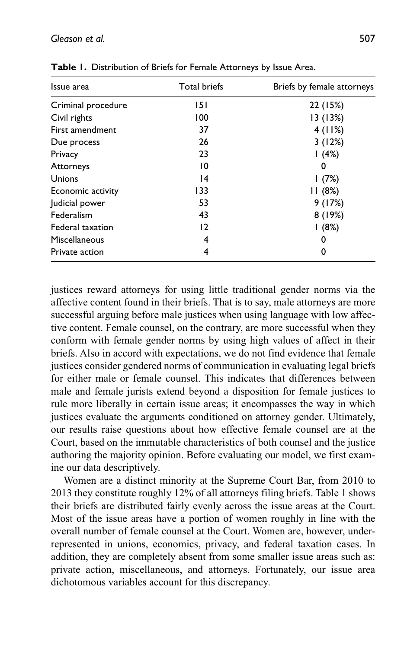| Issue area         | <b>Total briefs</b> | Briefs by female attorneys |
|--------------------|---------------------|----------------------------|
| Criminal procedure | 151                 | 22 (15%)                   |
| Civil rights       | 100                 | 13 (13%)                   |
| First amendment    | 37                  | 4(11%)                     |
| Due process        | 26                  | 3(12%)                     |
| Privacy            | 23                  | 1(4%)                      |
| Attorneys          | 10                  | 0                          |
| Unions             | 14                  | 1(7%)                      |
| Economic activity  | 133                 | 11(8%)                     |
| Judicial power     | 53                  | 9(17%)                     |
| Federalism         | 43                  | 8(19%)                     |
| Federal taxation   | 12                  | (8%)                       |
| Miscellaneous      | 4                   | O                          |
| Private action     | 4                   | 0                          |

**Table 1.** Distribution of Briefs for Female Attorneys by Issue Area.

justices reward attorneys for using little traditional gender norms via the affective content found in their briefs. That is to say, male attorneys are more successful arguing before male justices when using language with low affective content. Female counsel, on the contrary, are more successful when they conform with female gender norms by using high values of affect in their briefs. Also in accord with expectations, we do not find evidence that female justices consider gendered norms of communication in evaluating legal briefs for either male or female counsel. This indicates that differences between male and female jurists extend beyond a disposition for female justices to rule more liberally in certain issue areas; it encompasses the way in which justices evaluate the arguments conditioned on attorney gender. Ultimately, our results raise questions about how effective female counsel are at the Court, based on the immutable characteristics of both counsel and the justice authoring the majority opinion. Before evaluating our model, we first examine our data descriptively.

Women are a distinct minority at the Supreme Court Bar, from 2010 to 2013 they constitute roughly 12% of all attorneys filing briefs. Table 1 shows their briefs are distributed fairly evenly across the issue areas at the Court. Most of the issue areas have a portion of women roughly in line with the overall number of female counsel at the Court. Women are, however, underrepresented in unions, economics, privacy, and federal taxation cases. In addition, they are completely absent from some smaller issue areas such as: private action, miscellaneous, and attorneys. Fortunately, our issue area dichotomous variables account for this discrepancy.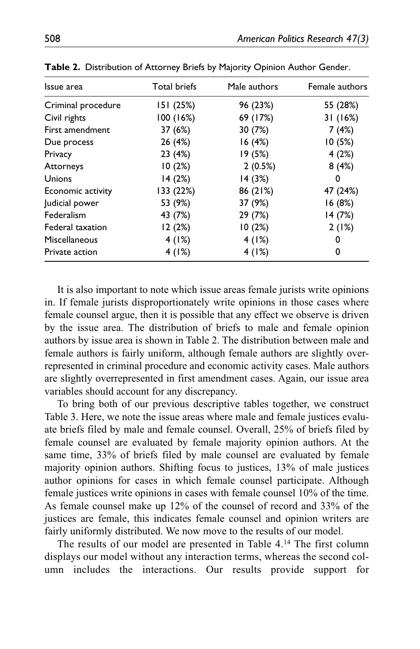| Issue area         | <b>Total briefs</b> | Male authors | Female authors |
|--------------------|---------------------|--------------|----------------|
| Criminal procedure | 151(25%)            | 96 (23%)     | 55 (28%)       |
| Civil rights       | 100 (16%)           | 69 (17%)     | 31 (16%)       |
| First amendment    | 37 (6%)             | 30 (7%)      | 7(4%)          |
| Due process        | 26 (4%)             | 16(4%)       | 10(5%)         |
| Privacy            | 23 (4%)             | 19 (5%)      | 4(2%)          |
| Attorneys          | 10(2%)              | 2(0.5%)      | 8(4%)          |
| Unions             | 14(2%)              | 14(3%)       | 0              |
| Economic activity  | 133 (22%)           | 86 (21%)     | 47 (24%)       |
| Judicial power     | 53 (9%)             | 37 (9%)      | 16(8%)         |
| Federalism         | 43 (7%)             | 29 (7%)      | 14 (7%)        |
| Federal taxation   | 12(2%)              | 10(2%)       | 2(1%)          |
| Miscellaneous      | 4(1%)               | 4 (1%)       | 0              |
| Private action     | 4(1%)               | 4(1%)        | 0              |

**Table 2.** Distribution of Attorney Briefs by Majority Opinion Author Gender.

It is also important to note which issue areas female jurists write opinions in. If female jurists disproportionately write opinions in those cases where female counsel argue, then it is possible that any effect we observe is driven by the issue area. The distribution of briefs to male and female opinion authors by issue area is shown in Table 2. The distribution between male and female authors is fairly uniform, although female authors are slightly overrepresented in criminal procedure and economic activity cases. Male authors are slightly overrepresented in first amendment cases. Again, our issue area variables should account for any discrepancy.

To bring both of our previous descriptive tables together, we construct Table 3. Here, we note the issue areas where male and female justices evaluate briefs filed by male and female counsel. Overall, 25% of briefs filed by female counsel are evaluated by female majority opinion authors. At the same time, 33% of briefs filed by male counsel are evaluated by female majority opinion authors. Shifting focus to justices, 13% of male justices author opinions for cases in which female counsel participate. Although female justices write opinions in cases with female counsel 10% of the time. As female counsel make up 12% of the counsel of record and 33% of the justices are female, this indicates female counsel and opinion writers are fairly uniformly distributed. We now move to the results of our model.

The results of our model are presented in Table 4.14 The first column displays our model without any interaction terms, whereas the second column includes the interactions. Our results provide support for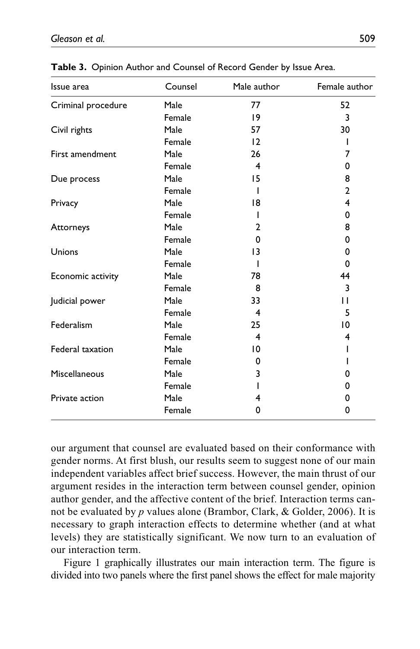| Issue area         | Counsel | Male author | Female author  |
|--------------------|---------|-------------|----------------|
| Criminal procedure | Male    | 77          | 52             |
|                    | Female  | 19          | 3              |
| Civil rights       | Male    | 57          | 30             |
|                    | Female  | 12          |                |
| First amendment    | Male    | 26          | 7              |
|                    | Female  | 4           | 0              |
| Due process        | Male    | 15          | 8              |
|                    | Female  |             | $\overline{2}$ |
| Privacy            | Male    | 18          | 4              |
|                    | Female  | ı           | 0              |
| Attorneys          | Male    | 2           | 8              |
|                    | Female  | 0           | 0              |
| Unions             | Male    | 13          | 0              |
|                    | Female  |             | $\Omega$       |
| Economic activity  | Male    | 78          | 44             |
|                    | Female  | 8           | 3              |
| Judicial power     | Male    | 33          | П              |
|                    | Female  | 4           | 5              |
| Federalism         | Male    | 25          | 10             |
|                    | Female  | 4           | 4              |
| Federal taxation   | Male    | 10          |                |
|                    | Female  | 0           |                |
| Miscellaneous      | Male    | 3           | 0              |
|                    | Female  |             | 0              |
| Private action     | Male    | 4           | 0              |
|                    | Female  | 0           | 0              |

**Table 3.** Opinion Author and Counsel of Record Gender by Issue Area.

our argument that counsel are evaluated based on their conformance with gender norms. At first blush, our results seem to suggest none of our main independent variables affect brief success. However, the main thrust of our argument resides in the interaction term between counsel gender, opinion author gender, and the affective content of the brief. Interaction terms cannot be evaluated by *p* values alone (Brambor, Clark, & Golder, 2006). It is necessary to graph interaction effects to determine whether (and at what levels) they are statistically significant. We now turn to an evaluation of our interaction term.

Figure 1 graphically illustrates our main interaction term. The figure is divided into two panels where the first panel shows the effect for male majority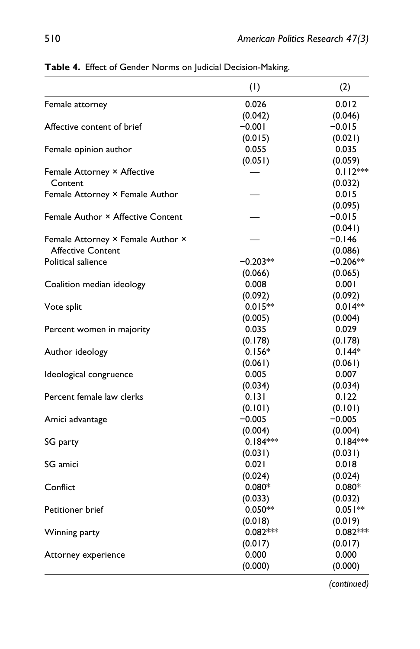|                                   | (1)        | (2)        |
|-----------------------------------|------------|------------|
| Female attorney                   | 0.026      | 0.012      |
|                                   | (0.042)    | (0.046)    |
| Affective content of brief        | $-0.001$   | $-0.015$   |
|                                   | (0.015)    | (0.021)    |
| Female opinion author             | 0.055      | 0.035      |
|                                   | (0.051)    | (0.059)    |
| Female Attorney × Affective       |            | $0.112***$ |
| Content                           |            | (0.032)    |
| Female Attorney × Female Author   |            | 0.015      |
|                                   |            | (0.095)    |
| Female Author × Affective Content |            | $-0.015$   |
|                                   |            | (0.041)    |
| Female Attorney × Female Author × |            | $-0.146$   |
| Affective Content                 |            | (0.086)    |
| Political salience                | $-0.203**$ | $-0.206**$ |
|                                   | (0.066)    | (0.065)    |
| Coalition median ideology         | 0.008      | 0.001      |
|                                   | (0.092)    | (0.092)    |
| Vote split                        | $0.015**$  | $0.014**$  |
|                                   | (0.005)    | (0.004)    |
| Percent women in majority         | 0.035      | 0.029      |
|                                   | (0.178)    | (0.178)    |
| Author ideology                   | $0.156*$   | $0.144*$   |
|                                   | (0.061)    | (0.061)    |
| Ideological congruence            | 0.005      | 0.007      |
|                                   | (0.034)    | (0.034)    |
| Percent female law clerks         | 0.131      | 0.122      |
|                                   | (0.101)    | (0.101)    |
| Amici advantage                   | $-0.005$   | $-0.005$   |
|                                   | (0.004)    | (0.004)    |
| SG party                          | $0.184***$ | $0.184***$ |
|                                   | (0.031)    | (0.031)    |
| SG amici                          | 0.021      | 0.018      |
|                                   | (0.024)    | (0.024)    |
| Conflict                          | $0.080*$   | $0.080*$   |
|                                   | (0.033)    | (0.032)    |
| Petitioner brief                  | $0.050**$  | $0.051**$  |
|                                   | (0.018)    | (0.019)    |
| Winning party                     | $0.082***$ | $0.082***$ |
|                                   | (0.017)    | (0.017)    |
| Attorney experience               | 0.000      | 0.000      |
|                                   | (0.000)    | (0.000)    |

**Table 4.** Effect of Gender Norms on Judicial Decision-Making.

*(continued)*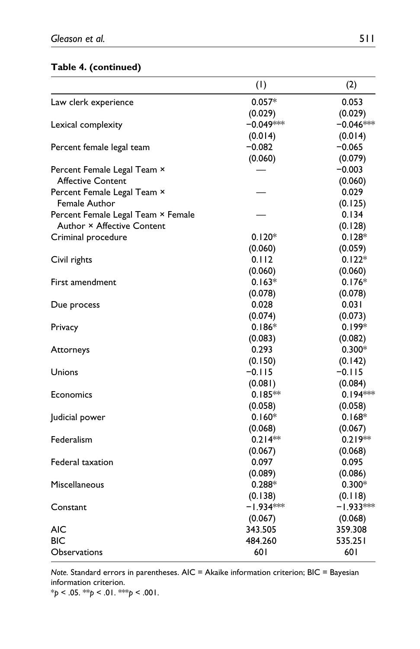### **Table 4. (continued)**

|                                    | (1)         | (2)         |
|------------------------------------|-------------|-------------|
| Law clerk experience               | $0.057*$    | 0.053       |
|                                    | (0.029)     | (0.029)     |
| Lexical complexity                 | $-0.049***$ | $-0.046***$ |
|                                    | (0.014)     | (0.014)     |
| Percent female legal team          | $-0.082$    | $-0.065$    |
|                                    | (0.060)     | (0.079)     |
| Percent Female Legal Team ×        |             | $-0.003$    |
| <b>Affective Content</b>           |             | (0.060)     |
| Percent Female Legal Team ×        |             | 0.029       |
| Female Author                      |             | (0.125)     |
| Percent Female Legal Team × Female |             | 0.134       |
| Author × Affective Content         |             | (0.128)     |
| Criminal procedure                 | $0.120*$    | $0.128*$    |
|                                    | (0.060)     | (0.059)     |
| Civil rights                       | 0.112       | $0.122*$    |
|                                    | (0.060)     | (0.060)     |
| First amendment                    | $0.163*$    | $0.176*$    |
|                                    | (0.078)     | (0.078)     |
| Due process                        | 0.028       | 0.031       |
|                                    | (0.074)     | (0.073)     |
| Privacy                            | $0.186*$    | $0.199*$    |
|                                    | (0.083)     | (0.082)     |
| Attorneys                          | 0.293       | $0.300*$    |
|                                    | (0.150)     | (0.142)     |
| Unions                             | -0.115      | $-0.115$    |
|                                    | (0.081)     | (0.084)     |
| Economics                          | $0.185**$   | $0.194***$  |
|                                    | (0.058)     | (0.058)     |
| Judicial power                     | $0.160*$    | $0.168*$    |
|                                    | (0.068)     | (0.067)     |
| Federalism                         | $0.214**$   | $0.219**$   |
|                                    | (0.067)     | (0.068)     |
| Federal taxation                   | 0.097       | 0.095       |
|                                    | (0.089)     | (0.086)     |
| Miscellaneous                      | $0.288*$    | $0.300*$    |
|                                    | (0.138)     | (0.118)     |
| Constant                           | $-1.934***$ | $-1.933***$ |
|                                    | (0.067)     | (0.068)     |
| AIC                                | 343.505     | 359.308     |
| <b>BIC</b>                         | 484.260     | 535.251     |
| <b>Observations</b>                | 601         | 601         |

*Note.* Standard errors in parentheses. AIC = Akaike information criterion; BIC = Bayesian information criterion. \**p* < .05. \*\**p* < .01. \*\*\**p* < .001.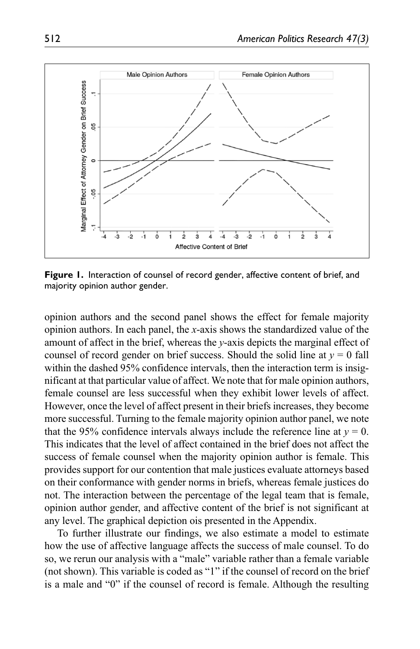

**Figure 1.** Interaction of counsel of record gender, affective content of brief, and majority opinion author gender.

opinion authors and the second panel shows the effect for female majority opinion authors. In each panel, the *x*-axis shows the standardized value of the amount of affect in the brief, whereas the *y*-axis depicts the marginal effect of counsel of record gender on brief success. Should the solid line at  $y = 0$  fall within the dashed 95% confidence intervals, then the interaction term is insignificant at that particular value of affect. We note that for male opinion authors, female counsel are less successful when they exhibit lower levels of affect. However, once the level of affect present in their briefs increases, they become more successful. Turning to the female majority opinion author panel, we note that the 95% confidence intervals always include the reference line at  $y = 0$ . This indicates that the level of affect contained in the brief does not affect the success of female counsel when the majority opinion author is female. This provides support for our contention that male justices evaluate attorneys based on their conformance with gender norms in briefs, whereas female justices do not. The interaction between the percentage of the legal team that is female, opinion author gender, and affective content of the brief is not significant at any level. The graphical depiction ois presented in the Appendix.

To further illustrate our findings, we also estimate a model to estimate how the use of affective language affects the success of male counsel. To do so, we rerun our analysis with a "male" variable rather than a female variable (not shown). This variable is coded as "1" if the counsel of record on the brief is a male and "0" if the counsel of record is female. Although the resulting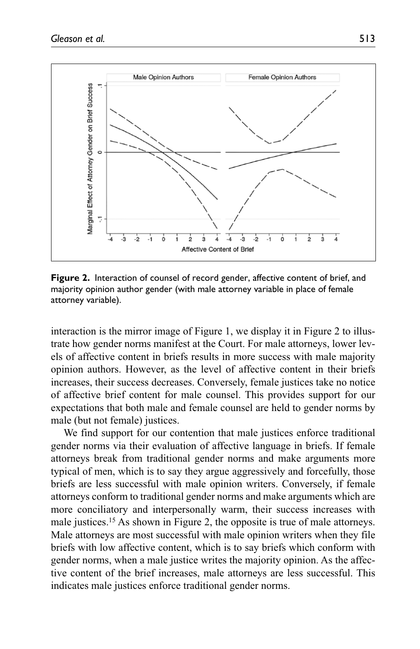

**Figure 2.** Interaction of counsel of record gender, affective content of brief, and majority opinion author gender (with male attorney variable in place of female attorney variable).

interaction is the mirror image of Figure 1, we display it in Figure 2 to illustrate how gender norms manifest at the Court. For male attorneys, lower levels of affective content in briefs results in more success with male majority opinion authors. However, as the level of affective content in their briefs increases, their success decreases. Conversely, female justices take no notice of affective brief content for male counsel. This provides support for our expectations that both male and female counsel are held to gender norms by male (but not female) justices.

We find support for our contention that male justices enforce traditional gender norms via their evaluation of affective language in briefs. If female attorneys break from traditional gender norms and make arguments more typical of men, which is to say they argue aggressively and forcefully, those briefs are less successful with male opinion writers. Conversely, if female attorneys conform to traditional gender norms and make arguments which are more conciliatory and interpersonally warm, their success increases with male justices.<sup>15</sup> As shown in Figure 2, the opposite is true of male attorneys. Male attorneys are most successful with male opinion writers when they file briefs with low affective content, which is to say briefs which conform with gender norms, when a male justice writes the majority opinion. As the affective content of the brief increases, male attorneys are less successful. This indicates male justices enforce traditional gender norms.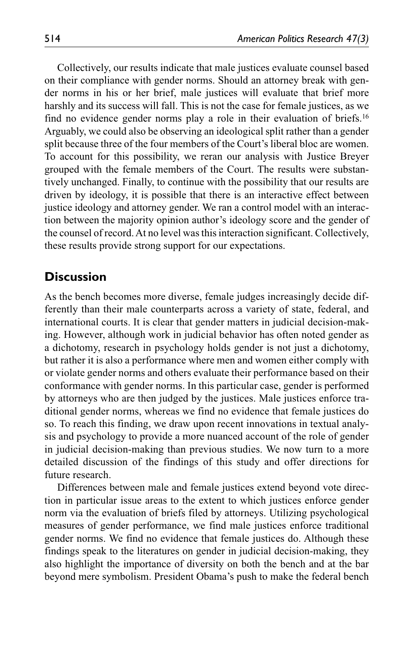Collectively, our results indicate that male justices evaluate counsel based on their compliance with gender norms. Should an attorney break with gender norms in his or her brief, male justices will evaluate that brief more harshly and its success will fall. This is not the case for female justices, as we find no evidence gender norms play a role in their evaluation of briefs.16 Arguably, we could also be observing an ideological split rather than a gender split because three of the four members of the Court's liberal bloc are women. To account for this possibility, we reran our analysis with Justice Breyer grouped with the female members of the Court. The results were substantively unchanged. Finally, to continue with the possibility that our results are driven by ideology, it is possible that there is an interactive effect between justice ideology and attorney gender. We ran a control model with an interaction between the majority opinion author's ideology score and the gender of the counsel of record. At no level was this interaction significant. Collectively, these results provide strong support for our expectations.

## **Discussion**

As the bench becomes more diverse, female judges increasingly decide differently than their male counterparts across a variety of state, federal, and international courts. It is clear that gender matters in judicial decision-making. However, although work in judicial behavior has often noted gender as a dichotomy, research in psychology holds gender is not just a dichotomy, but rather it is also a performance where men and women either comply with or violate gender norms and others evaluate their performance based on their conformance with gender norms. In this particular case, gender is performed by attorneys who are then judged by the justices. Male justices enforce traditional gender norms, whereas we find no evidence that female justices do so. To reach this finding, we draw upon recent innovations in textual analysis and psychology to provide a more nuanced account of the role of gender in judicial decision-making than previous studies. We now turn to a more detailed discussion of the findings of this study and offer directions for future research.

Differences between male and female justices extend beyond vote direction in particular issue areas to the extent to which justices enforce gender norm via the evaluation of briefs filed by attorneys. Utilizing psychological measures of gender performance, we find male justices enforce traditional gender norms. We find no evidence that female justices do. Although these findings speak to the literatures on gender in judicial decision-making, they also highlight the importance of diversity on both the bench and at the bar beyond mere symbolism. President Obama's push to make the federal bench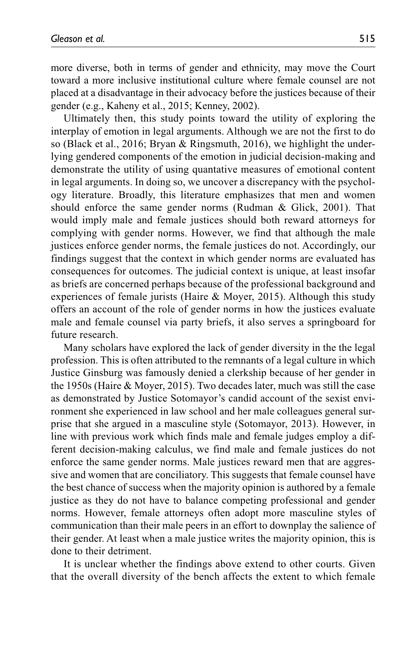more diverse, both in terms of gender and ethnicity, may move the Court toward a more inclusive institutional culture where female counsel are not placed at a disadvantage in their advocacy before the justices because of their gender (e.g., Kaheny et al., 2015; Kenney, 2002).

Ultimately then, this study points toward the utility of exploring the interplay of emotion in legal arguments. Although we are not the first to do so (Black et al., 2016; Bryan & Ringsmuth, 2016), we highlight the underlying gendered components of the emotion in judicial decision-making and demonstrate the utility of using quantative measures of emotional content in legal arguments. In doing so, we uncover a discrepancy with the psychology literature. Broadly, this literature emphasizes that men and women should enforce the same gender norms (Rudman & Glick, 2001). That would imply male and female justices should both reward attorneys for complying with gender norms. However, we find that although the male justices enforce gender norms, the female justices do not. Accordingly, our findings suggest that the context in which gender norms are evaluated has consequences for outcomes. The judicial context is unique, at least insofar as briefs are concerned perhaps because of the professional background and experiences of female jurists (Haire & Moyer, 2015). Although this study offers an account of the role of gender norms in how the justices evaluate male and female counsel via party briefs, it also serves a springboard for future research.

Many scholars have explored the lack of gender diversity in the the legal profession. This is often attributed to the remnants of a legal culture in which Justice Ginsburg was famously denied a clerkship because of her gender in the 1950s (Haire & Moyer, 2015). Two decades later, much was still the case as demonstrated by Justice Sotomayor's candid account of the sexist environment she experienced in law school and her male colleagues general surprise that she argued in a masculine style (Sotomayor, 2013). However, in line with previous work which finds male and female judges employ a different decision-making calculus, we find male and female justices do not enforce the same gender norms. Male justices reward men that are aggressive and women that are conciliatory. This suggests that female counsel have the best chance of success when the majority opinion is authored by a female justice as they do not have to balance competing professional and gender norms. However, female attorneys often adopt more masculine styles of communication than their male peers in an effort to downplay the salience of their gender. At least when a male justice writes the majority opinion, this is done to their detriment.

It is unclear whether the findings above extend to other courts. Given that the overall diversity of the bench affects the extent to which female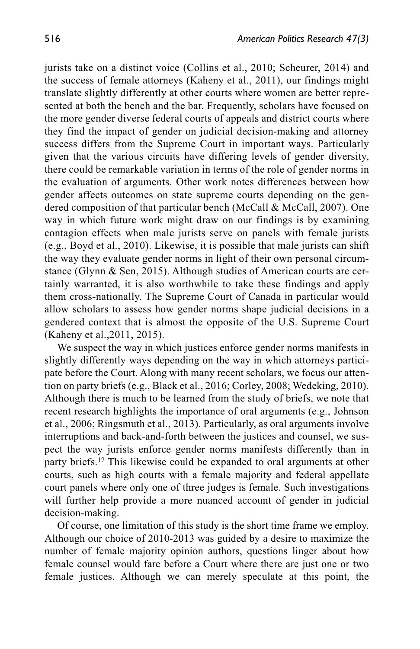jurists take on a distinct voice (Collins et al., 2010; Scheurer, 2014) and the success of female attorneys (Kaheny et al., 2011), our findings might translate slightly differently at other courts where women are better represented at both the bench and the bar. Frequently, scholars have focused on the more gender diverse federal courts of appeals and district courts where they find the impact of gender on judicial decision-making and attorney success differs from the Supreme Court in important ways. Particularly given that the various circuits have differing levels of gender diversity, there could be remarkable variation in terms of the role of gender norms in the evaluation of arguments. Other work notes differences between how gender affects outcomes on state supreme courts depending on the gendered composition of that particular bench (McCall & McCall, 2007). One way in which future work might draw on our findings is by examining contagion effects when male jurists serve on panels with female jurists (e.g., Boyd et al., 2010). Likewise, it is possible that male jurists can shift the way they evaluate gender norms in light of their own personal circumstance (Glynn & Sen, 2015). Although studies of American courts are certainly warranted, it is also worthwhile to take these findings and apply them cross-nationally. The Supreme Court of Canada in particular would allow scholars to assess how gender norms shape judicial decisions in a gendered context that is almost the opposite of the U.S. Supreme Court (Kaheny et al.,2011, 2015).

We suspect the way in which justices enforce gender norms manifests in slightly differently ways depending on the way in which attorneys participate before the Court. Along with many recent scholars, we focus our attention on party briefs (e.g., Black et al., 2016; Corley, 2008; Wedeking, 2010). Although there is much to be learned from the study of briefs, we note that recent research highlights the importance of oral arguments (e.g., Johnson et al., 2006; Ringsmuth et al., 2013). Particularly, as oral arguments involve interruptions and back-and-forth between the justices and counsel, we suspect the way jurists enforce gender norms manifests differently than in party briefs.17 This likewise could be expanded to oral arguments at other courts, such as high courts with a female majority and federal appellate court panels where only one of three judges is female. Such investigations will further help provide a more nuanced account of gender in judicial decision-making.

Of course, one limitation of this study is the short time frame we employ. Although our choice of 2010-2013 was guided by a desire to maximize the number of female majority opinion authors, questions linger about how female counsel would fare before a Court where there are just one or two female justices. Although we can merely speculate at this point, the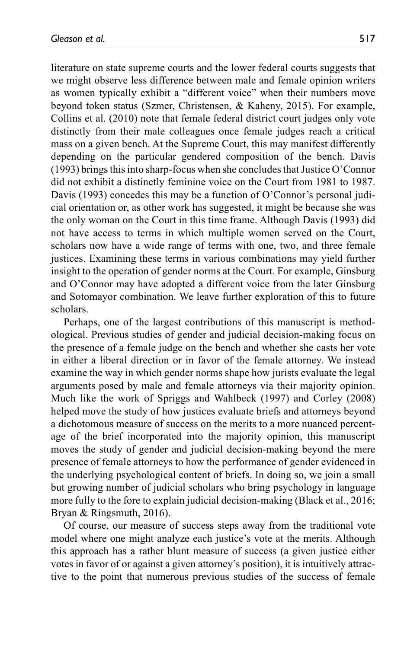literature on state supreme courts and the lower federal courts suggests that we might observe less difference between male and female opinion writers as women typically exhibit a "different voice" when their numbers move beyond token status (Szmer, Christensen, & Kaheny, 2015). For example, Collins et al. (2010) note that female federal district court judges only vote distinctly from their male colleagues once female judges reach a critical mass on a given bench. At the Supreme Court, this may manifest differently depending on the particular gendered composition of the bench. Davis (1993) brings this into sharp-focus when she concludes that Justice O'Connor did not exhibit a distinctly feminine voice on the Court from 1981 to 1987. Davis (1993) concedes this may be a function of O'Connor's personal judicial orientation or, as other work has suggested, it might be because she was the only woman on the Court in this time frame. Although Davis (1993) did not have access to terms in which multiple women served on the Court, scholars now have a wide range of terms with one, two, and three female justices. Examining these terms in various combinations may yield further insight to the operation of gender norms at the Court. For example, Ginsburg and O'Connor may have adopted a different voice from the later Ginsburg and Sotomayor combination. We leave further exploration of this to future scholars.

Perhaps, one of the largest contributions of this manuscript is methodological. Previous studies of gender and judicial decision-making focus on the presence of a female judge on the bench and whether she casts her vote in either a liberal direction or in favor of the female attorney. We instead examine the way in which gender norms shape how jurists evaluate the legal arguments posed by male and female attorneys via their majority opinion. Much like the work of Spriggs and Wahlbeck (1997) and Corley (2008) helped move the study of how justices evaluate briefs and attorneys beyond a dichotomous measure of success on the merits to a more nuanced percentage of the brief incorporated into the majority opinion, this manuscript moves the study of gender and judicial decision-making beyond the mere presence of female attorneys to how the performance of gender evidenced in the underlying psychological content of briefs. In doing so, we join a small but growing number of judicial scholars who bring psychology in language more fully to the fore to explain judicial decision-making (Black et al., 2016; Bryan & Ringsmuth, 2016).

Of course, our measure of success steps away from the traditional vote model where one might analyze each justice's vote at the merits. Although this approach has a rather blunt measure of success (a given justice either votes in favor of or against a given attorney's position), it is intuitively attractive to the point that numerous previous studies of the success of female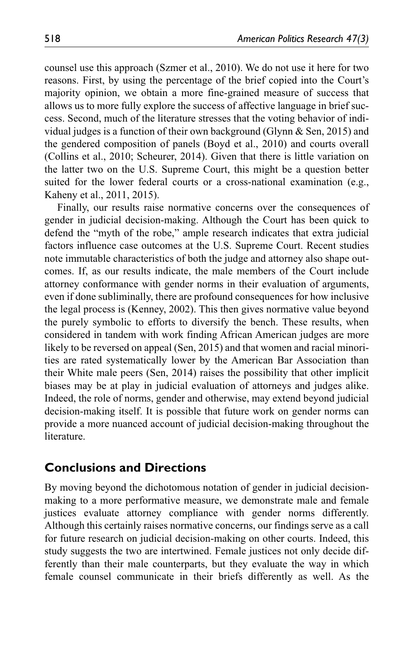counsel use this approach (Szmer et al., 2010). We do not use it here for two reasons. First, by using the percentage of the brief copied into the Court's majority opinion, we obtain a more fine-grained measure of success that allows us to more fully explore the success of affective language in brief success. Second, much of the literature stresses that the voting behavior of individual judges is a function of their own background (Glynn  $&$  Sen, 2015) and the gendered composition of panels (Boyd et al., 2010) and courts overall (Collins et al., 2010; Scheurer, 2014). Given that there is little variation on the latter two on the U.S. Supreme Court, this might be a question better suited for the lower federal courts or a cross-national examination (e.g., Kaheny et al., 2011, 2015).

Finally, our results raise normative concerns over the consequences of gender in judicial decision-making. Although the Court has been quick to defend the "myth of the robe," ample research indicates that extra judicial factors influence case outcomes at the U.S. Supreme Court. Recent studies note immutable characteristics of both the judge and attorney also shape outcomes. If, as our results indicate, the male members of the Court include attorney conformance with gender norms in their evaluation of arguments, even if done subliminally, there are profound consequences for how inclusive the legal process is (Kenney, 2002). This then gives normative value beyond the purely symbolic to efforts to diversify the bench. These results, when considered in tandem with work finding African American judges are more likely to be reversed on appeal (Sen, 2015) and that women and racial minorities are rated systematically lower by the American Bar Association than their White male peers (Sen, 2014) raises the possibility that other implicit biases may be at play in judicial evaluation of attorneys and judges alike. Indeed, the role of norms, gender and otherwise, may extend beyond judicial decision-making itself. It is possible that future work on gender norms can provide a more nuanced account of judicial decision-making throughout the literature.

## **Conclusions and Directions**

By moving beyond the dichotomous notation of gender in judicial decisionmaking to a more performative measure, we demonstrate male and female justices evaluate attorney compliance with gender norms differently. Although this certainly raises normative concerns, our findings serve as a call for future research on judicial decision-making on other courts. Indeed, this study suggests the two are intertwined. Female justices not only decide differently than their male counterparts, but they evaluate the way in which female counsel communicate in their briefs differently as well. As the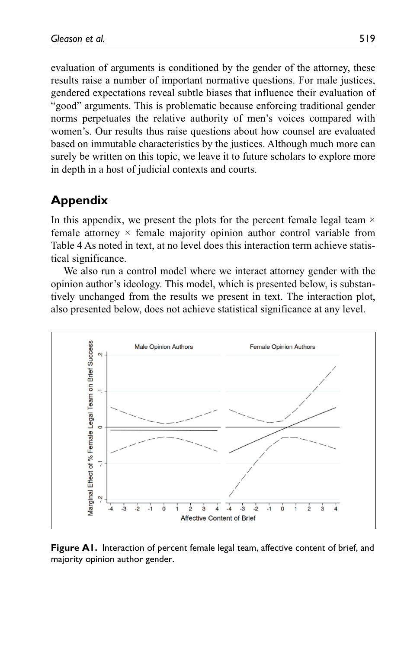evaluation of arguments is conditioned by the gender of the attorney, these results raise a number of important normative questions. For male justices, gendered expectations reveal subtle biases that influence their evaluation of "good" arguments. This is problematic because enforcing traditional gender norms perpetuates the relative authority of men's voices compared with women's. Our results thus raise questions about how counsel are evaluated based on immutable characteristics by the justices. Although much more can surely be written on this topic, we leave it to future scholars to explore more in depth in a host of judicial contexts and courts.

# **Appendix**

In this appendix, we present the plots for the percent female legal team  $\times$ female attorney  $\times$  female majority opinion author control variable from Table 4 As noted in text, at no level does this interaction term achieve statistical significance.

We also run a control model where we interact attorney gender with the opinion author's ideology. This model, which is presented below, is substantively unchanged from the results we present in text. The interaction plot, also presented below, does not achieve statistical significance at any level.



**Figure A1.** Interaction of percent female legal team, affective content of brief, and majority opinion author gender.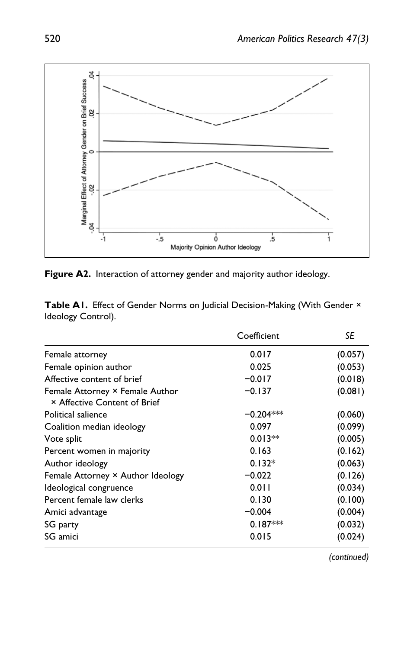

Figure A2. Interaction of attorney gender and majority author ideology.

| Ideology Control).                                              |             |         |  |
|-----------------------------------------------------------------|-------------|---------|--|
|                                                                 | Coefficient | SE      |  |
| Female attorney                                                 | 0.017       | (0.057) |  |
| Female opinion author                                           | 0.025       | (0.053) |  |
| Affective content of brief                                      | $-0.017$    | (0.018) |  |
| Female Attorney × Female Author<br>× Affective Content of Brief | $-0.137$    | (0.081) |  |
| Political salience                                              | $-0.204***$ | (0.060) |  |
| Coalition median ideology                                       | 0.097       | (0.099) |  |
| Vote split                                                      | $0.013**$   | (0.005) |  |
| Percent women in majority                                       | 0.163       | (0.162) |  |
| Author ideology                                                 | $0.132*$    | (0.063) |  |
| Female Attorney × Author Ideology                               | $-0.022$    | (0.126) |  |
| Ideological congruence                                          | 0.011       | (0.034) |  |
| Percent female law clerks                                       | 0.130       | (0.100) |  |
| Amici advantage                                                 | $-0.004$    | (0.004) |  |
| SG party                                                        | $0.187***$  | (0.032) |  |
| SG amici                                                        | 0.015       | (0.024) |  |

Table A1. Effect of Gender Norms on Judicial Decision-Making (With Gender ×

*(continued)*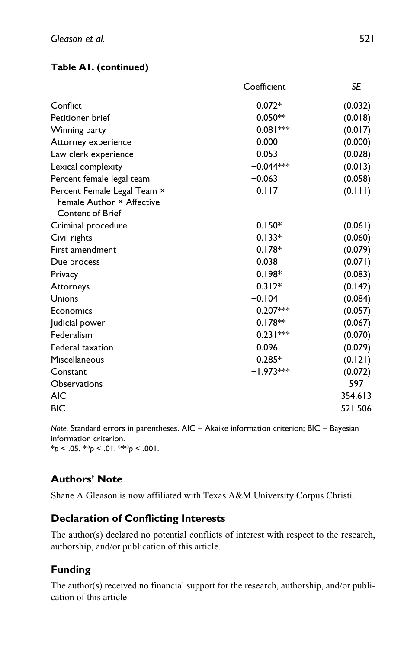#### **Table A1. (continued)**

|                                               | Coefficient | <b>SE</b> |
|-----------------------------------------------|-------------|-----------|
| Conflict                                      | $0.072*$    | (0.032)   |
| Petitioner brief                              | $0.050**$   | (0.018)   |
| Winning party                                 | $0.081***$  | (0.017)   |
| Attorney experience                           | 0.000       | (0.000)   |
| Law clerk experience                          | 0.053       | (0.028)   |
| Lexical complexity                            | $-0.044***$ | (0.013)   |
| Percent female legal team                     | $-0.063$    | (0.058)   |
| Percent Female Legal Team ×                   | 0.117       | (0.111)   |
| Female Author × Affective<br>Content of Brief |             |           |
| Criminal procedure                            | $0.150*$    | (0.061)   |
| Civil rights                                  | $0.133*$    | (0.060)   |
| First amendment                               | $0.178*$    | (0.079)   |
| Due process                                   | 0.038       | (0.071)   |
| Privacy                                       | $0.198*$    | (0.083)   |
| <b>Attorneys</b>                              | $0.312*$    | (0.142)   |
| Unions                                        | $-0.104$    | (0.084)   |
| Economics                                     | $0.207***$  | (0.057)   |
| Judicial power                                | $0.178**$   | (0.067)   |
| Federalism                                    | $0.231***$  | (0.070)   |
| Federal taxation                              | 0.096       | (0.079)   |
| Miscellaneous                                 | $0.285*$    | (0.121)   |
| Constant                                      | $-1.973***$ | (0.072)   |
| <b>Observations</b>                           |             | 597       |
| <b>AIC</b>                                    |             | 354.613   |
| <b>BIC</b>                                    |             | 521.506   |

*Note.* Standard errors in parentheses. AIC = Akaike information criterion; BIC = Bayesian information criterion.  $*_{p}$  < .05. \*\**p* < .01. \*\**p* < .001.

### **Authors' Note**

Shane A Gleason is now affiliated with Texas A&M University Corpus Christi.

### **Declaration of Conflicting Interests**

The author(s) declared no potential conflicts of interest with respect to the research, authorship, and/or publication of this article.

## **Funding**

The author(s) received no financial support for the research, authorship, and/or publication of this article.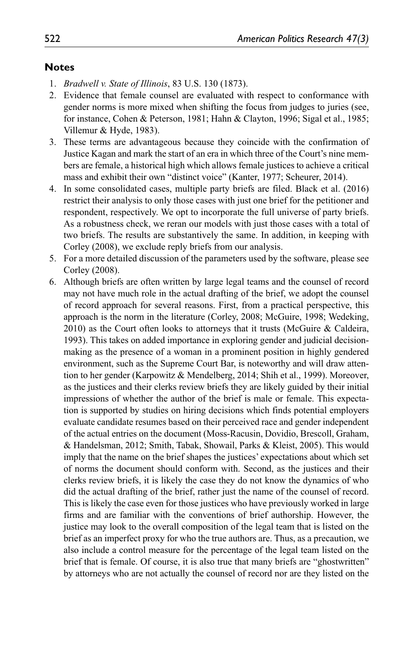#### **Notes**

- 1. *Bradwell v. State of Illinois*, 83 U.S. 130 (1873).
- 2. Evidence that female counsel are evaluated with respect to conformance with gender norms is more mixed when shifting the focus from judges to juries (see, for instance, Cohen & Peterson, 1981; Hahn & Clayton, 1996; Sigal et al., 1985; Villemur & Hyde, 1983).
- 3. These terms are advantageous because they coincide with the confirmation of Justice Kagan and mark the start of an era in which three of the Court's nine members are female, a historical high which allows female justices to achieve a critical mass and exhibit their own "distinct voice" (Kanter, 1977; Scheurer, 2014).
- 4. In some consolidated cases, multiple party briefs are filed. Black et al. (2016) restrict their analysis to only those cases with just one brief for the petitioner and respondent, respectively. We opt to incorporate the full universe of party briefs. As a robustness check, we reran our models with just those cases with a total of two briefs. The results are substantively the same. In addition, in keeping with Corley (2008), we exclude reply briefs from our analysis.
- 5. For a more detailed discussion of the parameters used by the software, please see Corley (2008).
- 6. Although briefs are often written by large legal teams and the counsel of record may not have much role in the actual drafting of the brief, we adopt the counsel of record approach for several reasons. First, from a practical perspective, this approach is the norm in the literature (Corley, 2008; McGuire, 1998; Wedeking, 2010) as the Court often looks to attorneys that it trusts (McGuire & Caldeira, 1993). This takes on added importance in exploring gender and judicial decisionmaking as the presence of a woman in a prominent position in highly gendered environment, such as the Supreme Court Bar, is noteworthy and will draw attention to her gender (Karpowitz & Mendelberg, 2014; Shih et al., 1999). Moreover, as the justices and their clerks review briefs they are likely guided by their initial impressions of whether the author of the brief is male or female. This expectation is supported by studies on hiring decisions which finds potential employers evaluate candidate resumes based on their perceived race and gender independent of the actual entries on the document (Moss-Racusin, Dovidio, Brescoll, Graham, & Handelsman, 2012; Smith, Tabak, Showail, Parks & Kleist, 2005). This would imply that the name on the brief shapes the justices' expectations about which set of norms the document should conform with. Second, as the justices and their clerks review briefs, it is likely the case they do not know the dynamics of who did the actual drafting of the brief, rather just the name of the counsel of record. This is likely the case even for those justices who have previously worked in large firms and are familiar with the conventions of brief authorship. However, the justice may look to the overall composition of the legal team that is listed on the brief as an imperfect proxy for who the true authors are. Thus, as a precaution, we also include a control measure for the percentage of the legal team listed on the brief that is female. Of course, it is also true that many briefs are "ghostwritten" by attorneys who are not actually the counsel of record nor are they listed on the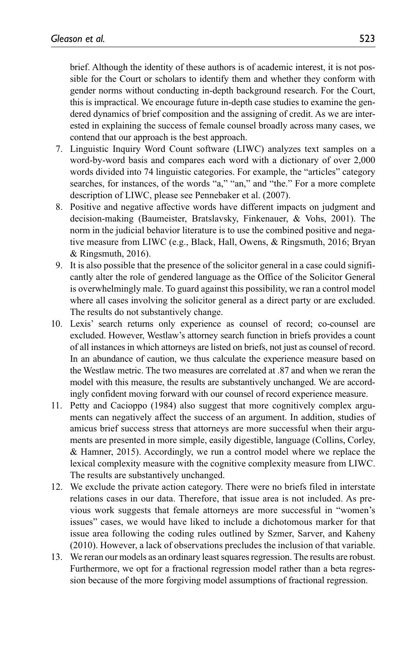brief. Although the identity of these authors is of academic interest, it is not possible for the Court or scholars to identify them and whether they conform with gender norms without conducting in-depth background research. For the Court, this is impractical. We encourage future in-depth case studies to examine the gendered dynamics of brief composition and the assigning of credit. As we are interested in explaining the success of female counsel broadly across many cases, we contend that our approach is the best approach.

- 7. Linguistic Inquiry Word Count software (LIWC) analyzes text samples on a word-by-word basis and compares each word with a dictionary of over 2,000 words divided into 74 linguistic categories. For example, the "articles" category searches, for instances, of the words "a," "an," and "the." For a more complete description of LIWC, please see Pennebaker et al. (2007).
- 8. Positive and negative affective words have different impacts on judgment and decision-making (Baumeister, Bratslavsky, Finkenauer, & Vohs, 2001). The norm in the judicial behavior literature is to use the combined positive and negative measure from LIWC (e.g., Black, Hall, Owens, & Ringsmuth, 2016; Bryan & Ringsmuth, 2016).
- 9. It is also possible that the presence of the solicitor general in a case could significantly alter the role of gendered language as the Office of the Solicitor General is overwhelmingly male. To guard against this possibility, we ran a control model where all cases involving the solicitor general as a direct party or are excluded. The results do not substantively change.
- 10. Lexis' search returns only experience as counsel of record; co-counsel are excluded. However, Westlaw's attorney search function in briefs provides a count of all instances in which attorneys are listed on briefs, not just as counsel of record. In an abundance of caution, we thus calculate the experience measure based on the Westlaw metric. The two measures are correlated at .87 and when we reran the model with this measure, the results are substantively unchanged. We are accordingly confident moving forward with our counsel of record experience measure.
- 11. Petty and Cacioppo (1984) also suggest that more cognitively complex arguments can negatively affect the success of an argument. In addition, studies of amicus brief success stress that attorneys are more successful when their arguments are presented in more simple, easily digestible, language (Collins, Corley, & Hamner, 2015). Accordingly, we run a control model where we replace the lexical complexity measure with the cognitive complexity measure from LIWC. The results are substantively unchanged.
- 12. We exclude the private action category. There were no briefs filed in interstate relations cases in our data. Therefore, that issue area is not included. As previous work suggests that female attorneys are more successful in "women's issues" cases, we would have liked to include a dichotomous marker for that issue area following the coding rules outlined by Szmer, Sarver, and Kaheny (2010). However, a lack of observations precludes the inclusion of that variable.
- 13. We reran our models as an ordinary least squares regression. The results are robust. Furthermore, we opt for a fractional regression model rather than a beta regression because of the more forgiving model assumptions of fractional regression.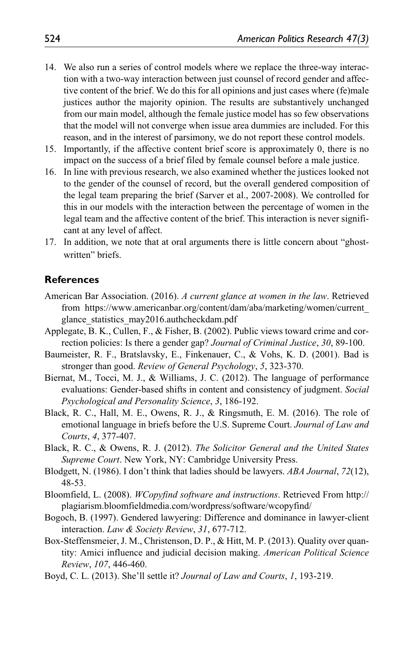- 14. We also run a series of control models where we replace the three-way interaction with a two-way interaction between just counsel of record gender and affective content of the brief. We do this for all opinions and just cases where (fe)male justices author the majority opinion. The results are substantively unchanged from our main model, although the female justice model has so few observations that the model will not converge when issue area dummies are included. For this reason, and in the interest of parsimony, we do not report these control models.
- 15. Importantly, if the affective content brief score is approximately 0, there is no impact on the success of a brief filed by female counsel before a male justice.
- 16. In line with previous research, we also examined whether the justices looked not to the gender of the counsel of record, but the overall gendered composition of the legal team preparing the brief (Sarver et al., 2007-2008). We controlled for this in our models with the interaction between the percentage of women in the legal team and the affective content of the brief. This interaction is never significant at any level of affect.
- 17. In addition, we note that at oral arguments there is little concern about "ghostwritten" briefs.

#### **References**

- American Bar Association. (2016). *A current glance at women in the law*. Retrieved from [https://www.americanbar.org/content/dam/aba/marketing/women/current\\_](https://www.americanbar.org/content/dam/aba/marketing/women/current_glance_statistics_may2016.authcheckdam.pdf) [glance\\_statistics\\_may2016.authcheckdam.pdf](https://www.americanbar.org/content/dam/aba/marketing/women/current_glance_statistics_may2016.authcheckdam.pdf)
- Applegate, B. K., Cullen, F., & Fisher, B. (2002). Public views toward crime and correction policies: Is there a gender gap? *Journal of Criminal Justice*, *30*, 89-100.
- Baumeister, R. F., Bratslavsky, E., Finkenauer, C., & Vohs, K. D. (2001). Bad is stronger than good. *Review of General Psychology*, *5*, 323-370.
- Biernat, M., Tocci, M. J., & Williams, J. C. (2012). The language of performance evaluations: Gender-based shifts in content and consistency of judgment. *Social Psychological and Personality Science*, *3*, 186-192.
- Black, R. C., Hall, M. E., Owens, R. J., & Ringsmuth, E. M. (2016). The role of emotional language in briefs before the U.S. Supreme Court. *Journal of Law and Courts*, *4*, 377-407.
- Black, R. C., & Owens, R. J. (2012). *The Solicitor General and the United States Supreme Court*. New York, NY: Cambridge University Press.
- Blodgett, N. (1986). I don't think that ladies should be lawyers. *ABA Journal*, *72*(12), 48-53.
- Bloomfield, L. (2008). *WCopyfind software and instructions*. Retrieved From [http://](http://plagiarism.bloomfieldmedia.com/wordpress/software/wcopyfind/) [plagiarism.bloomfieldmedia.com/wordpress/software/wcopyfind/](http://plagiarism.bloomfieldmedia.com/wordpress/software/wcopyfind/)
- Bogoch, B. (1997). Gendered lawyering: Difference and dominance in lawyer-client interaction. *Law & Society Review*, *31*, 677-712.
- Box-Steffensmeier, J. M., Christenson, D. P., & Hitt, M. P. (2013). Quality over quantity: Amici influence and judicial decision making. *American Political Science Review*, *107*, 446-460.
- Boyd, C. L. (2013). She'll settle it? *Journal of Law and Courts*, *1*, 193-219.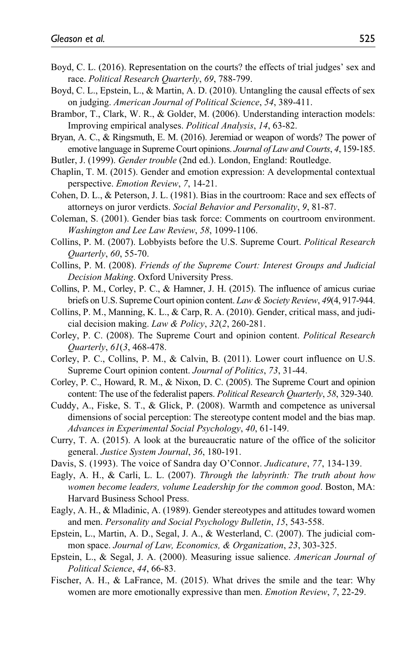- Boyd, C. L. (2016). Representation on the courts? the effects of trial judges' sex and race. *Political Research Quarterly*, *69*, 788-799.
- Boyd, C. L., Epstein, L., & Martin, A. D. (2010). Untangling the causal effects of sex on judging. *American Journal of Political Science*, *54*, 389-411.
- Brambor, T., Clark, W. R., & Golder, M. (2006). Understanding interaction models: Improving empirical analyses. *Political Analysis*, *14*, 63-82.
- Bryan, A. C., & Ringsmuth, E. M. (2016). Jeremiad or weapon of words? The power of emotive language in Supreme Court opinions. *Journal of Law and Courts*, *4*, 159-185.
- Butler, J. (1999). *Gender trouble* (2nd ed.). London, England: Routledge.
- Chaplin, T. M. (2015). Gender and emotion expression: A developmental contextual perspective. *Emotion Review*, *7*, 14-21.
- Cohen, D. L., & Peterson, J. L. (1981). Bias in the courtroom: Race and sex effects of attorneys on juror verdicts. *Social Behavior and Personality*, *9*, 81-87.
- Coleman, S. (2001). Gender bias task force: Comments on courtroom environment. *Washington and Lee Law Review*, *58*, 1099-1106.
- Collins, P. M. (2007). Lobbyists before the U.S. Supreme Court. *Political Research Quarterly*, *60*, 55-70.
- Collins, P. M. (2008). *Friends of the Supreme Court: Interest Groups and Judicial Decision Making*. Oxford University Press.
- Collins, P. M., Corley, P. C., & Hamner, J. H. (2015). The influence of amicus curiae briefs on U.S. Supreme Court opinion content. *Law & Society Review*, *49*(4, 917-944.
- Collins, P. M., Manning, K. L., & Carp, R. A. (2010). Gender, critical mass, and judicial decision making. *Law & Policy*, *32*(*2*, 260-281.
- Corley, P. C. (2008). The Supreme Court and opinion content. *Political Research Quarterly*, *61*(*3*, 468-478.
- Corley, P. C., Collins, P. M., & Calvin, B. (2011). Lower court influence on U.S. Supreme Court opinion content. *Journal of Politics*, *73*, 31-44.
- Corley, P. C., Howard, R. M., & Nixon, D. C. (2005). The Supreme Court and opinion content: The use of the federalist papers. *Political Research Quarterly*, *58*, 329-340.
- Cuddy, A., Fiske, S. T., & Glick, P. (2008). Warmth and competence as universal dimensions of social perception: The stereotype content model and the bias map. *Advances in Experimental Social Psychology*, *40*, 61-149.
- Curry, T. A. (2015). A look at the bureaucratic nature of the office of the solicitor general. *Justice System Journal*, *36*, 180-191.
- Davis, S. (1993). The voice of Sandra day O'Connor. *Judicature*, *77*, 134-139.
- Eagly, A. H., & Carli, L. L. (2007). *Through the labyrinth: The truth about how women become leaders, volume Leadership for the common good*. Boston, MA: Harvard Business School Press.
- Eagly, A. H., & Mladinic, A. (1989). Gender stereotypes and attitudes toward women and men. *Personality and Social Psychology Bulletin*, *15*, 543-558.
- Epstein, L., Martin, A. D., Segal, J. A., & Westerland, C. (2007). The judicial common space. *Journal of Law, Economics, & Organization*, *23*, 303-325.
- Epstein, L., & Segal, J. A. (2000). Measuring issue salience. *American Journal of Political Science*, *44*, 66-83.
- Fischer, A. H., & LaFrance, M. (2015). What drives the smile and the tear: Why women are more emotionally expressive than men. *Emotion Review*, *7*, 22-29.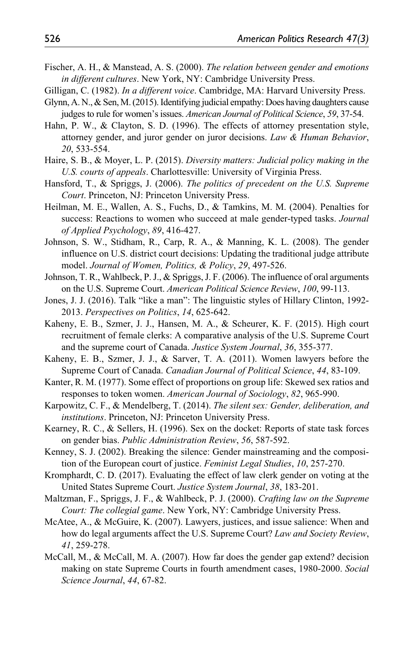- Fischer, A. H., & Manstead, A. S. (2000). *The relation between gender and emotions in different cultures*. New York, NY: Cambridge University Press.
- Gilligan, C. (1982). *In a different voice*. Cambridge, MA: Harvard University Press.
- Glynn, A. N., & Sen, M. (2015). Identifying judicial empathy: Does having daughters cause judges to rule for women's issues. *American Journal of Political Science*, *59*, 37-54.
- Hahn, P. W., & Clayton, S. D. (1996). The effects of attorney presentation style, attorney gender, and juror gender on juror decisions. *Law & Human Behavior*, *20*, 533-554.
- Haire, S. B., & Moyer, L. P. (2015). *Diversity matters: Judicial policy making in the U.S. courts of appeals*. Charlottesville: University of Virginia Press.
- Hansford, T., & Spriggs, J. (2006). *The politics of precedent on the U.S. Supreme Court*. Princeton, NJ: Princeton University Press.
- Heilman, M. E., Wallen, A. S., Fuchs, D., & Tamkins, M. M. (2004). Penalties for success: Reactions to women who succeed at male gender-typed tasks. *Journal of Applied Psychology*, *89*, 416-427.
- Johnson, S. W., Stidham, R., Carp, R. A., & Manning, K. L. (2008). The gender influence on U.S. district court decisions: Updating the traditional judge attribute model. *Journal of Women, Politics, & Policy*, *29*, 497-526.
- Johnson, T. R., Wahlbeck, P. J., & Spriggs, J. F. (2006). The influence of oral arguments on the U.S. Supreme Court. *American Political Science Review*, *100*, 99-113.
- Jones, J. J. (2016). Talk "like a man": The linguistic styles of Hillary Clinton, 1992- 2013. *Perspectives on Politics*, *14*, 625-642.
- Kaheny, E. B., Szmer, J. J., Hansen, M. A., & Scheurer, K. F. (2015). High court recruitment of female clerks: A comparative analysis of the U.S. Supreme Court and the supreme court of Canada. *Justice System Journal*, *36*, 355-377.
- Kaheny, E. B., Szmer, J. J., & Sarver, T. A. (2011). Women lawyers before the Supreme Court of Canada. *Canadian Journal of Political Science*, *44*, 83-109.
- Kanter, R. M. (1977). Some effect of proportions on group life: Skewed sex ratios and responses to token women. *American Journal of Sociology*, *82*, 965-990.
- Karpowitz, C. F., & Mendelberg, T. (2014). *The silent sex: Gender, deliberation, and institutions*. Princeton, NJ: Princeton University Press.
- Kearney, R. C., & Sellers, H. (1996). Sex on the docket: Reports of state task forces on gender bias. *Public Administration Review*, *56*, 587-592.
- Kenney, S. J. (2002). Breaking the silence: Gender mainstreaming and the composition of the European court of justice. *Feminist Legal Studies*, *10*, 257-270.
- Kromphardt, C. D. (2017). Evaluating the effect of law clerk gender on voting at the United States Supreme Court. *Justice System Journal*, *38*, 183-201.
- Maltzman, F., Spriggs, J. F., & Wahlbeck, P. J. (2000). *Crafting law on the Supreme Court: The collegial game*. New York, NY: Cambridge University Press.
- McAtee, A., & McGuire, K. (2007). Lawyers, justices, and issue salience: When and how do legal arguments affect the U.S. Supreme Court? *Law and Society Review*, *41*, 259-278.
- McCall, M., & McCall, M. A. (2007). How far does the gender gap extend? decision making on state Supreme Courts in fourth amendment cases, 1980-2000. *Social Science Journal*, *44*, 67-82.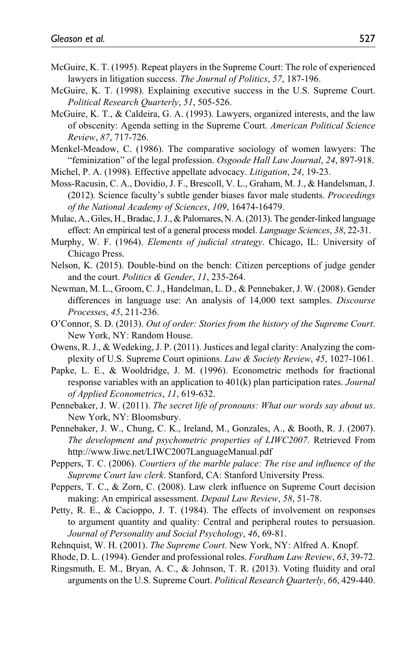- McGuire, K. T. (1995). Repeat players in the Supreme Court: The role of experienced lawyers in litigation success. *The Journal of Politics*, *57*, 187-196.
- McGuire, K. T. (1998). Explaining executive success in the U.S. Supreme Court. *Political Research Quarterly*, *51*, 505-526.
- McGuire, K. T., & Caldeira, G. A. (1993). Lawyers, organized interests, and the law of obscenity: Agenda setting in the Supreme Court. *American Political Science Review*, *87*, 717-726.
- Menkel-Meadow, C. (1986). The comparative sociology of women lawyers: The "feminization" of the legal profession. *Osgoode Hall Law Journal*, *24*, 897-918.

Michel, P. A. (1998). Effective appellate advocacy. *Litigation*, *24*, 19-23.

- Moss-Racusin, C. A., Dovidio, J. F., Brescoll, V. L., Graham, M. J., & Handelsman, J. (2012). Science faculty's subtle gender biases favor male students. *Proceedings of the National Academy of Sciences*, *109*, 16474-16479.
- Mulac, A., Giles, H., Bradac, J. J., & Palomares, N. A. (2013). The gender-linked language effect: An empirical test of a general process model. *Language Sciences*, *38*, 22-31.
- Murphy, W. F. (1964). *Elements of judicial strategy*. Chicago, IL: University of Chicago Press.
- Nelson, K. (2015). Double-bind on the bench: Citizen perceptions of judge gender and the court. *Politics & Gender*, *11*, 235-264.
- Newman, M. L., Groom, C. J., Handelman, L. D., & Pennebaker, J. W. (2008). Gender differences in language use: An analysis of 14,000 text samples. *Discourse Processes*, *45*, 211-236.
- O'Connor, S. D. (2013). *Out of order: Stories from the history of the Supreme Court*. New York, NY: Random House.
- Owens, R. J., & Wedeking, J. P. (2011). Justices and legal clarity: Analyzing the complexity of U.S. Supreme Court opinions. *Law & Society Review*, *45*, 1027-1061.
- Papke, L. E., & Wooldridge, J. M. (1996). Econometric methods for fractional response variables with an application to 401(k) plan participation rates. *Journal of Applied Econometrics*, *11*, 619-632.
- Pennebaker, J. W. (2011). *The secret life of pronouns: What our words say about us*. New York, NY: Bloomsbury.
- Pennebaker, J. W., Chung, C. K., Ireland, M., Gonzales, A., & Booth, R. J. (2007). *The development and psychometric properties of LIWC2007*. Retrieved From <http://www.liwc.net/LIWC2007LanguageManual.pdf>
- Peppers, T. C. (2006). *Courtiers of the marble palace: The rise and influence of the Supreme Court law clerk*. Stanford, CA: Stanford University Press.
- Peppers, T. C., & Zorn, C. (2008). Law clerk influence on Supreme Court decision making: An empirical assessment. *Depaul Law Review*, *58*, 51-78.
- Petty, R. E., & Cacioppo, J. T. (1984). The effects of involvement on responses to argument quantity and quality: Central and peripheral routes to persuasion. *Journal of Personality and Social Psychology*, *46*, 69-81.
- Rehnquist, W. H. (2001). *The Supreme Court*. New York, NY: Alfred A. Knopf.

Rhode, D. L. (1994). Gender and professional roles. *Fordham Law Review*, *63*, 39-72.

Ringsmuth, E. M., Bryan, A. C., & Johnson, T. R. (2013). Voting fluidity and oral arguments on the U.S. Supreme Court. *Political Research Quarterly*, *66*, 429-440.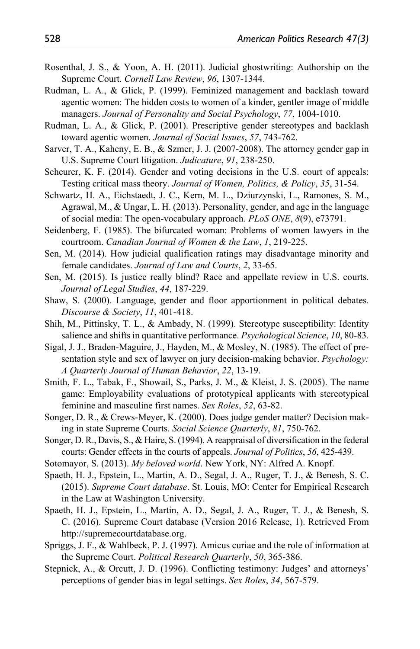- Rosenthal, J. S., & Yoon, A. H. (2011). Judicial ghostwriting: Authorship on the Supreme Court. *Cornell Law Review*, *96*, 1307-1344.
- Rudman, L. A., & Glick, P. (1999). Feminized management and backlash toward agentic women: The hidden costs to women of a kinder, gentler image of middle managers. *Journal of Personality and Social Psychology*, *77*, 1004-1010.
- Rudman, L. A., & Glick, P. (2001). Prescriptive gender stereotypes and backlash toward agentic women. *Journal of Social Issues*, *57*, 743-762.
- Sarver, T. A., Kaheny, E. B., & Szmer, J. J. (2007-2008). The attorney gender gap in U.S. Supreme Court litigation. *Judicature*, *91*, 238-250.
- Scheurer, K. F. (2014). Gender and voting decisions in the U.S. court of appeals: Testing critical mass theory. *Journal of Women, Politics, & Policy*, *35*, 31-54.
- Schwartz, H. A., Eichstaedt, J. C., Kern, M. L., Dziurzynski, L., Ramones, S. M., Agrawal, M., & Ungar, L. H. (2013). Personality, gender, and age in the language of social media: The open-vocabulary approach. *PLoS ONE*, *8*(9), e73791.
- Seidenberg, F. (1985). The bifurcated woman: Problems of women lawyers in the courtroom. *Canadian Journal of Women & the Law*, *1*, 219-225.
- Sen, M. (2014). How judicial qualification ratings may disadvantage minority and female candidates. *Journal of Law and Courts*, *2*, 33-65.
- Sen, M. (2015). Is justice really blind? Race and appellate review in U.S. courts. *Journal of Legal Studies*, *44*, 187-229.
- Shaw, S. (2000). Language, gender and floor apportionment in political debates. *Discourse & Society*, *11*, 401-418.
- Shih, M., Pittinsky, T. L., & Ambady, N. (1999). Stereotype susceptibility: Identity salience and shifts in quantitative performance. *Psychological Science*, *10*, 80-83.
- Sigal, J. J., Braden-Maguire, J., Hayden, M., & Mosley, N. (1985). The effect of presentation style and sex of lawyer on jury decision-making behavior. *Psychology: A Quarterly Journal of Human Behavior*, *22*, 13-19.
- Smith, F. L., Tabak, F., Showail, S., Parks, J. M., & Kleist, J. S. (2005). The name game: Employability evaluations of prototypical applicants with stereotypical feminine and masculine first names. *Sex Roles*, *52*, 63-82.
- Songer, D. R., & Crews-Meyer, K. (2000). Does judge gender matter? Decision making in state Supreme Courts. *Social Science Quarterly*, *81*, 750-762.
- Songer, D. R., Davis, S., & Haire, S. (1994). A reappraisal of diversification in the federal courts: Gender effects in the courts of appeals. *Journal of Politics*, *56*, 425-439.
- Sotomayor, S. (2013). *My beloved world*. New York, NY: Alfred A. Knopf.
- Spaeth, H. J., Epstein, L., Martin, A. D., Segal, J. A., Ruger, T. J., & Benesh, S. C. (2015). *Supreme Court database*. St. Louis, MO: Center for Empirical Research in the Law at Washington University.
- Spaeth, H. J., Epstein, L., Martin, A. D., Segal, J. A., Ruger, T. J., & Benesh, S. C. (2016). Supreme Court database (Version 2016 Release, 1). Retrieved From [http://supremecourtdatabase.org.](http://supremecourtdatabase.org)
- Spriggs, J. F., & Wahlbeck, P. J. (1997). Amicus curiae and the role of information at the Supreme Court. *Political Research Quarterly*, *50*, 365-386.
- Stepnick, A., & Orcutt, J. D. (1996). Conflicting testimony: Judges' and attorneys' perceptions of gender bias in legal settings. *Sex Roles*, *34*, 567-579.